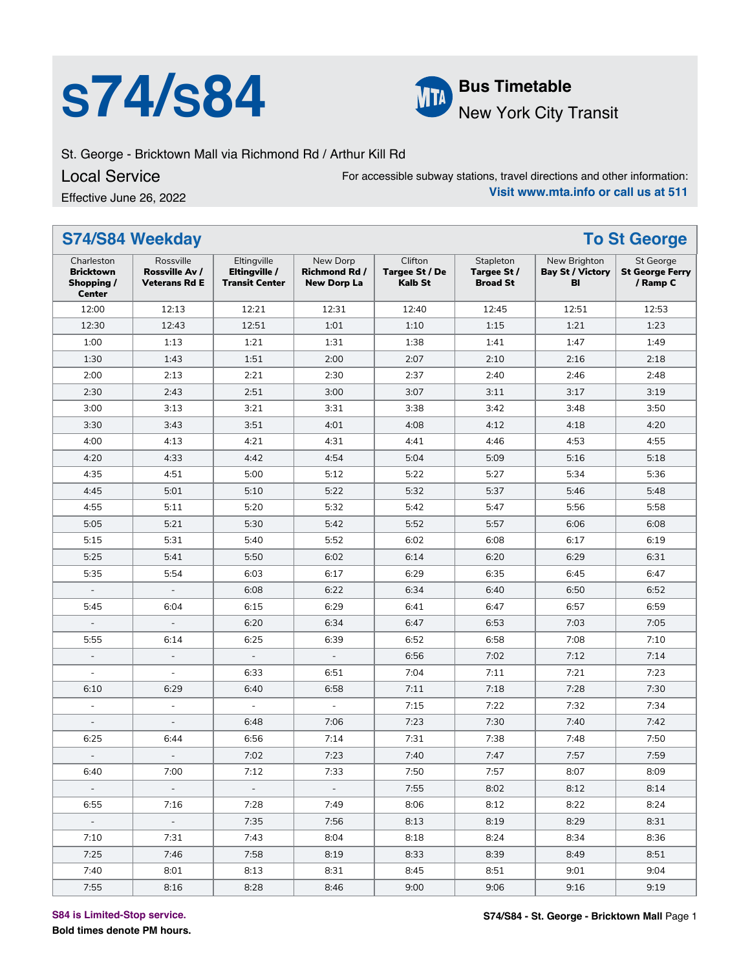# **S74/S84 Bus Timetable**



## New York City Transit

St. George - Bricktown Mall via Richmond Rd / Arthur Kill Rd

Local Service

For accessible subway stations, travel directions and other information: **Visit www.mta.info or call us at 511**

Effective June 26, 2022

| Clifton<br>Charleston<br>Rossville<br>Eltingville<br>New Dorp<br>Stapleton<br>New Brighton<br>St George<br>Eltingville /<br>Targee St / De<br><b>Bricktown</b><br>Rossville Av /<br><b>Richmond Rd /</b><br>Targee St /<br><b>Bay St / Victory</b><br><b>Transit Center</b><br><b>Broad St</b><br>/ Ramp C<br>Shopping /<br><b>Veterans Rd E</b><br><b>New Dorp La</b><br>Kalb St<br>BI<br><b>Center</b><br>12:00<br>12:13<br>12:21<br>12:31<br>12:40<br>12:51<br>12:53<br>12:45<br>12:51<br>1:23<br>12:30<br>12:43<br>1:01<br>1:10<br>1:15<br>1:21<br>1:00<br>1:21<br>1:38<br>1:13<br>1:31<br>1:41<br>1:47<br>1:49<br>1:30<br>1:43<br>1:51<br>2:00<br>2:07<br>2:10<br>2:18<br>2:16<br>2:00<br>2:13<br>2:21<br>2:30<br>2:37<br>2:40<br>2:48<br>2:46<br>2:51<br>2:30<br>2:43<br>3:00<br>3:07<br>3:11<br>3:17<br>3:19<br>3:00<br>3:21<br>3:38<br>3:50<br>3:13<br>3:31<br>3:42<br>3:48<br>3:30<br>3:51<br>4:08<br>4:12<br>4:18<br>4:20<br>3:43<br>4:01<br>4:21<br>4:00<br>4:13<br>4:31<br>4:41<br>4:46<br>4:53<br>4:55<br>4:20<br>4:33<br>4:42<br>4:54<br>5:04<br>5:09<br>5:16<br>5:18<br>4:35<br>4:51<br>5:00<br>5:22<br>5:27<br>5:34<br>5:36<br>5:12<br>4:45<br>5:01<br>5:10<br>5:22<br>5:32<br>5:37<br>5:46<br>5:48<br>5:11<br>5:20<br>5:32<br>5:42<br>5:56<br>5:58<br>4:55<br>5:47<br>5:05<br>5:21<br>5:30<br>5:42<br>5:52<br>5:57<br>6:08<br>6:06<br>5:31<br>5:52<br>6:02<br>6:19<br>5:15<br>5:40<br>6:08<br>6:17<br>5:25<br>5:50<br>6:14<br>6:20<br>6:29<br>6:31<br>5:41<br>6:02<br>5:35<br>5:54<br>6:03<br>6:17<br>6:29<br>6:35<br>6:45<br>6:47<br>6:08<br>6:22<br>6:34<br>6:40<br>6:50<br>6:52<br>6:59<br>5:45<br>6:04<br>6:15<br>6:29<br>6:41<br>6:47<br>6:57<br>6:20<br>6:34<br>6:47<br>6:53<br>7:05<br>7:03<br>$\overline{\phantom{a}}$<br>5:55<br>6:25<br>6:39<br>6:58<br>7:10<br>6:14<br>6:52<br>7:08<br>6:56<br>7:02<br>7:14<br>$\blacksquare$<br>7:12<br>$\blacksquare$<br>$\overline{\phantom{a}}$<br>$\overline{\phantom{a}}$<br>6:33<br>7:04<br>7:11<br>7:21<br>7:23<br>6:51<br>$\overline{a}$<br>÷,<br>7:11<br>7:18<br>7:30<br>6:10<br>6:29<br>6:40<br>6:58<br>7:28<br>7:15<br>7:22<br>7:34<br>$\overline{\phantom{a}}$<br>$\omega$<br>7:32<br>$\equiv$<br>$\blacksquare$<br>7:23<br>6:48<br>7:30<br>7:42<br>7:06<br>7:40<br>6:25<br>7:31<br>7:38<br>7:50<br>6:44<br>6:56<br>7:14<br>7:48<br>7:02<br>7:23<br>7:40<br>7:59<br>7:47<br>7:57<br>$\overline{a}$<br>7:12<br>7:33<br>7:50<br>7:57<br>8:09<br>6:40<br>7:00<br>8:07<br>7:55<br>8:02<br>8:12<br>8:14<br>$\overline{\phantom{a}}$<br>$\sim$<br>7:28<br>6:55<br>7:49<br>8:06<br>8:12<br>8:22<br>8:24<br>7:16<br>7:35<br>7:56<br>8:13<br>8:19<br>8:29<br>8:31<br>$\omega_{\rm c}$<br>$\sim$<br>7:43<br>8:18<br>8:24<br>8:36<br>7:10<br>7:31<br>8:04<br>8:34<br>8:33<br>7:25<br>7:46<br>7:58<br>8:19<br>8:39<br>8:49<br>8:51<br>7:40<br>8:01<br>8:13<br>8:31<br>8:45<br>8:51<br>9:01<br>9:04<br>7:55<br>8:16<br>8:28<br>9:00<br>9:06<br>9:16<br>9:19<br>8:46 | S74/S84 Weekday | <b>To St George</b> |  |  |                        |
|---------------------------------------------------------------------------------------------------------------------------------------------------------------------------------------------------------------------------------------------------------------------------------------------------------------------------------------------------------------------------------------------------------------------------------------------------------------------------------------------------------------------------------------------------------------------------------------------------------------------------------------------------------------------------------------------------------------------------------------------------------------------------------------------------------------------------------------------------------------------------------------------------------------------------------------------------------------------------------------------------------------------------------------------------------------------------------------------------------------------------------------------------------------------------------------------------------------------------------------------------------------------------------------------------------------------------------------------------------------------------------------------------------------------------------------------------------------------------------------------------------------------------------------------------------------------------------------------------------------------------------------------------------------------------------------------------------------------------------------------------------------------------------------------------------------------------------------------------------------------------------------------------------------------------------------------------------------------------------------------------------------------------------------------------------------------------------------------------------------------------------------------------------------------------------------------------------------------------------------------------------------------------------------------------------------------------------------------------------------------------------------------------------------------------------------------------------------------------------------------------------------------------------------------------------------------------------------------------------------------------------------------------------------------------------------------------------------------------------------------------------------------------------------------------------------------------------------------------------------------------------------------------------------------------------|-----------------|---------------------|--|--|------------------------|
|                                                                                                                                                                                                                                                                                                                                                                                                                                                                                                                                                                                                                                                                                                                                                                                                                                                                                                                                                                                                                                                                                                                                                                                                                                                                                                                                                                                                                                                                                                                                                                                                                                                                                                                                                                                                                                                                                                                                                                                                                                                                                                                                                                                                                                                                                                                                                                                                                                                                                                                                                                                                                                                                                                                                                                                                                                                                                                                                 |                 |                     |  |  | <b>St George Ferry</b> |
|                                                                                                                                                                                                                                                                                                                                                                                                                                                                                                                                                                                                                                                                                                                                                                                                                                                                                                                                                                                                                                                                                                                                                                                                                                                                                                                                                                                                                                                                                                                                                                                                                                                                                                                                                                                                                                                                                                                                                                                                                                                                                                                                                                                                                                                                                                                                                                                                                                                                                                                                                                                                                                                                                                                                                                                                                                                                                                                                 |                 |                     |  |  |                        |
|                                                                                                                                                                                                                                                                                                                                                                                                                                                                                                                                                                                                                                                                                                                                                                                                                                                                                                                                                                                                                                                                                                                                                                                                                                                                                                                                                                                                                                                                                                                                                                                                                                                                                                                                                                                                                                                                                                                                                                                                                                                                                                                                                                                                                                                                                                                                                                                                                                                                                                                                                                                                                                                                                                                                                                                                                                                                                                                                 |                 |                     |  |  |                        |
|                                                                                                                                                                                                                                                                                                                                                                                                                                                                                                                                                                                                                                                                                                                                                                                                                                                                                                                                                                                                                                                                                                                                                                                                                                                                                                                                                                                                                                                                                                                                                                                                                                                                                                                                                                                                                                                                                                                                                                                                                                                                                                                                                                                                                                                                                                                                                                                                                                                                                                                                                                                                                                                                                                                                                                                                                                                                                                                                 |                 |                     |  |  |                        |
|                                                                                                                                                                                                                                                                                                                                                                                                                                                                                                                                                                                                                                                                                                                                                                                                                                                                                                                                                                                                                                                                                                                                                                                                                                                                                                                                                                                                                                                                                                                                                                                                                                                                                                                                                                                                                                                                                                                                                                                                                                                                                                                                                                                                                                                                                                                                                                                                                                                                                                                                                                                                                                                                                                                                                                                                                                                                                                                                 |                 |                     |  |  |                        |
|                                                                                                                                                                                                                                                                                                                                                                                                                                                                                                                                                                                                                                                                                                                                                                                                                                                                                                                                                                                                                                                                                                                                                                                                                                                                                                                                                                                                                                                                                                                                                                                                                                                                                                                                                                                                                                                                                                                                                                                                                                                                                                                                                                                                                                                                                                                                                                                                                                                                                                                                                                                                                                                                                                                                                                                                                                                                                                                                 |                 |                     |  |  |                        |
|                                                                                                                                                                                                                                                                                                                                                                                                                                                                                                                                                                                                                                                                                                                                                                                                                                                                                                                                                                                                                                                                                                                                                                                                                                                                                                                                                                                                                                                                                                                                                                                                                                                                                                                                                                                                                                                                                                                                                                                                                                                                                                                                                                                                                                                                                                                                                                                                                                                                                                                                                                                                                                                                                                                                                                                                                                                                                                                                 |                 |                     |  |  |                        |
|                                                                                                                                                                                                                                                                                                                                                                                                                                                                                                                                                                                                                                                                                                                                                                                                                                                                                                                                                                                                                                                                                                                                                                                                                                                                                                                                                                                                                                                                                                                                                                                                                                                                                                                                                                                                                                                                                                                                                                                                                                                                                                                                                                                                                                                                                                                                                                                                                                                                                                                                                                                                                                                                                                                                                                                                                                                                                                                                 |                 |                     |  |  |                        |
|                                                                                                                                                                                                                                                                                                                                                                                                                                                                                                                                                                                                                                                                                                                                                                                                                                                                                                                                                                                                                                                                                                                                                                                                                                                                                                                                                                                                                                                                                                                                                                                                                                                                                                                                                                                                                                                                                                                                                                                                                                                                                                                                                                                                                                                                                                                                                                                                                                                                                                                                                                                                                                                                                                                                                                                                                                                                                                                                 |                 |                     |  |  |                        |
|                                                                                                                                                                                                                                                                                                                                                                                                                                                                                                                                                                                                                                                                                                                                                                                                                                                                                                                                                                                                                                                                                                                                                                                                                                                                                                                                                                                                                                                                                                                                                                                                                                                                                                                                                                                                                                                                                                                                                                                                                                                                                                                                                                                                                                                                                                                                                                                                                                                                                                                                                                                                                                                                                                                                                                                                                                                                                                                                 |                 |                     |  |  |                        |
|                                                                                                                                                                                                                                                                                                                                                                                                                                                                                                                                                                                                                                                                                                                                                                                                                                                                                                                                                                                                                                                                                                                                                                                                                                                                                                                                                                                                                                                                                                                                                                                                                                                                                                                                                                                                                                                                                                                                                                                                                                                                                                                                                                                                                                                                                                                                                                                                                                                                                                                                                                                                                                                                                                                                                                                                                                                                                                                                 |                 |                     |  |  |                        |
|                                                                                                                                                                                                                                                                                                                                                                                                                                                                                                                                                                                                                                                                                                                                                                                                                                                                                                                                                                                                                                                                                                                                                                                                                                                                                                                                                                                                                                                                                                                                                                                                                                                                                                                                                                                                                                                                                                                                                                                                                                                                                                                                                                                                                                                                                                                                                                                                                                                                                                                                                                                                                                                                                                                                                                                                                                                                                                                                 |                 |                     |  |  |                        |
|                                                                                                                                                                                                                                                                                                                                                                                                                                                                                                                                                                                                                                                                                                                                                                                                                                                                                                                                                                                                                                                                                                                                                                                                                                                                                                                                                                                                                                                                                                                                                                                                                                                                                                                                                                                                                                                                                                                                                                                                                                                                                                                                                                                                                                                                                                                                                                                                                                                                                                                                                                                                                                                                                                                                                                                                                                                                                                                                 |                 |                     |  |  |                        |
|                                                                                                                                                                                                                                                                                                                                                                                                                                                                                                                                                                                                                                                                                                                                                                                                                                                                                                                                                                                                                                                                                                                                                                                                                                                                                                                                                                                                                                                                                                                                                                                                                                                                                                                                                                                                                                                                                                                                                                                                                                                                                                                                                                                                                                                                                                                                                                                                                                                                                                                                                                                                                                                                                                                                                                                                                                                                                                                                 |                 |                     |  |  |                        |
|                                                                                                                                                                                                                                                                                                                                                                                                                                                                                                                                                                                                                                                                                                                                                                                                                                                                                                                                                                                                                                                                                                                                                                                                                                                                                                                                                                                                                                                                                                                                                                                                                                                                                                                                                                                                                                                                                                                                                                                                                                                                                                                                                                                                                                                                                                                                                                                                                                                                                                                                                                                                                                                                                                                                                                                                                                                                                                                                 |                 |                     |  |  |                        |
|                                                                                                                                                                                                                                                                                                                                                                                                                                                                                                                                                                                                                                                                                                                                                                                                                                                                                                                                                                                                                                                                                                                                                                                                                                                                                                                                                                                                                                                                                                                                                                                                                                                                                                                                                                                                                                                                                                                                                                                                                                                                                                                                                                                                                                                                                                                                                                                                                                                                                                                                                                                                                                                                                                                                                                                                                                                                                                                                 |                 |                     |  |  |                        |
|                                                                                                                                                                                                                                                                                                                                                                                                                                                                                                                                                                                                                                                                                                                                                                                                                                                                                                                                                                                                                                                                                                                                                                                                                                                                                                                                                                                                                                                                                                                                                                                                                                                                                                                                                                                                                                                                                                                                                                                                                                                                                                                                                                                                                                                                                                                                                                                                                                                                                                                                                                                                                                                                                                                                                                                                                                                                                                                                 |                 |                     |  |  |                        |
|                                                                                                                                                                                                                                                                                                                                                                                                                                                                                                                                                                                                                                                                                                                                                                                                                                                                                                                                                                                                                                                                                                                                                                                                                                                                                                                                                                                                                                                                                                                                                                                                                                                                                                                                                                                                                                                                                                                                                                                                                                                                                                                                                                                                                                                                                                                                                                                                                                                                                                                                                                                                                                                                                                                                                                                                                                                                                                                                 |                 |                     |  |  |                        |
|                                                                                                                                                                                                                                                                                                                                                                                                                                                                                                                                                                                                                                                                                                                                                                                                                                                                                                                                                                                                                                                                                                                                                                                                                                                                                                                                                                                                                                                                                                                                                                                                                                                                                                                                                                                                                                                                                                                                                                                                                                                                                                                                                                                                                                                                                                                                                                                                                                                                                                                                                                                                                                                                                                                                                                                                                                                                                                                                 |                 |                     |  |  |                        |
|                                                                                                                                                                                                                                                                                                                                                                                                                                                                                                                                                                                                                                                                                                                                                                                                                                                                                                                                                                                                                                                                                                                                                                                                                                                                                                                                                                                                                                                                                                                                                                                                                                                                                                                                                                                                                                                                                                                                                                                                                                                                                                                                                                                                                                                                                                                                                                                                                                                                                                                                                                                                                                                                                                                                                                                                                                                                                                                                 |                 |                     |  |  |                        |
|                                                                                                                                                                                                                                                                                                                                                                                                                                                                                                                                                                                                                                                                                                                                                                                                                                                                                                                                                                                                                                                                                                                                                                                                                                                                                                                                                                                                                                                                                                                                                                                                                                                                                                                                                                                                                                                                                                                                                                                                                                                                                                                                                                                                                                                                                                                                                                                                                                                                                                                                                                                                                                                                                                                                                                                                                                                                                                                                 |                 |                     |  |  |                        |
|                                                                                                                                                                                                                                                                                                                                                                                                                                                                                                                                                                                                                                                                                                                                                                                                                                                                                                                                                                                                                                                                                                                                                                                                                                                                                                                                                                                                                                                                                                                                                                                                                                                                                                                                                                                                                                                                                                                                                                                                                                                                                                                                                                                                                                                                                                                                                                                                                                                                                                                                                                                                                                                                                                                                                                                                                                                                                                                                 |                 |                     |  |  |                        |
|                                                                                                                                                                                                                                                                                                                                                                                                                                                                                                                                                                                                                                                                                                                                                                                                                                                                                                                                                                                                                                                                                                                                                                                                                                                                                                                                                                                                                                                                                                                                                                                                                                                                                                                                                                                                                                                                                                                                                                                                                                                                                                                                                                                                                                                                                                                                                                                                                                                                                                                                                                                                                                                                                                                                                                                                                                                                                                                                 |                 |                     |  |  |                        |
|                                                                                                                                                                                                                                                                                                                                                                                                                                                                                                                                                                                                                                                                                                                                                                                                                                                                                                                                                                                                                                                                                                                                                                                                                                                                                                                                                                                                                                                                                                                                                                                                                                                                                                                                                                                                                                                                                                                                                                                                                                                                                                                                                                                                                                                                                                                                                                                                                                                                                                                                                                                                                                                                                                                                                                                                                                                                                                                                 |                 |                     |  |  |                        |
|                                                                                                                                                                                                                                                                                                                                                                                                                                                                                                                                                                                                                                                                                                                                                                                                                                                                                                                                                                                                                                                                                                                                                                                                                                                                                                                                                                                                                                                                                                                                                                                                                                                                                                                                                                                                                                                                                                                                                                                                                                                                                                                                                                                                                                                                                                                                                                                                                                                                                                                                                                                                                                                                                                                                                                                                                                                                                                                                 |                 |                     |  |  |                        |
|                                                                                                                                                                                                                                                                                                                                                                                                                                                                                                                                                                                                                                                                                                                                                                                                                                                                                                                                                                                                                                                                                                                                                                                                                                                                                                                                                                                                                                                                                                                                                                                                                                                                                                                                                                                                                                                                                                                                                                                                                                                                                                                                                                                                                                                                                                                                                                                                                                                                                                                                                                                                                                                                                                                                                                                                                                                                                                                                 |                 |                     |  |  |                        |
|                                                                                                                                                                                                                                                                                                                                                                                                                                                                                                                                                                                                                                                                                                                                                                                                                                                                                                                                                                                                                                                                                                                                                                                                                                                                                                                                                                                                                                                                                                                                                                                                                                                                                                                                                                                                                                                                                                                                                                                                                                                                                                                                                                                                                                                                                                                                                                                                                                                                                                                                                                                                                                                                                                                                                                                                                                                                                                                                 |                 |                     |  |  |                        |
|                                                                                                                                                                                                                                                                                                                                                                                                                                                                                                                                                                                                                                                                                                                                                                                                                                                                                                                                                                                                                                                                                                                                                                                                                                                                                                                                                                                                                                                                                                                                                                                                                                                                                                                                                                                                                                                                                                                                                                                                                                                                                                                                                                                                                                                                                                                                                                                                                                                                                                                                                                                                                                                                                                                                                                                                                                                                                                                                 |                 |                     |  |  |                        |
|                                                                                                                                                                                                                                                                                                                                                                                                                                                                                                                                                                                                                                                                                                                                                                                                                                                                                                                                                                                                                                                                                                                                                                                                                                                                                                                                                                                                                                                                                                                                                                                                                                                                                                                                                                                                                                                                                                                                                                                                                                                                                                                                                                                                                                                                                                                                                                                                                                                                                                                                                                                                                                                                                                                                                                                                                                                                                                                                 |                 |                     |  |  |                        |
|                                                                                                                                                                                                                                                                                                                                                                                                                                                                                                                                                                                                                                                                                                                                                                                                                                                                                                                                                                                                                                                                                                                                                                                                                                                                                                                                                                                                                                                                                                                                                                                                                                                                                                                                                                                                                                                                                                                                                                                                                                                                                                                                                                                                                                                                                                                                                                                                                                                                                                                                                                                                                                                                                                                                                                                                                                                                                                                                 |                 |                     |  |  |                        |
|                                                                                                                                                                                                                                                                                                                                                                                                                                                                                                                                                                                                                                                                                                                                                                                                                                                                                                                                                                                                                                                                                                                                                                                                                                                                                                                                                                                                                                                                                                                                                                                                                                                                                                                                                                                                                                                                                                                                                                                                                                                                                                                                                                                                                                                                                                                                                                                                                                                                                                                                                                                                                                                                                                                                                                                                                                                                                                                                 |                 |                     |  |  |                        |
|                                                                                                                                                                                                                                                                                                                                                                                                                                                                                                                                                                                                                                                                                                                                                                                                                                                                                                                                                                                                                                                                                                                                                                                                                                                                                                                                                                                                                                                                                                                                                                                                                                                                                                                                                                                                                                                                                                                                                                                                                                                                                                                                                                                                                                                                                                                                                                                                                                                                                                                                                                                                                                                                                                                                                                                                                                                                                                                                 |                 |                     |  |  |                        |
|                                                                                                                                                                                                                                                                                                                                                                                                                                                                                                                                                                                                                                                                                                                                                                                                                                                                                                                                                                                                                                                                                                                                                                                                                                                                                                                                                                                                                                                                                                                                                                                                                                                                                                                                                                                                                                                                                                                                                                                                                                                                                                                                                                                                                                                                                                                                                                                                                                                                                                                                                                                                                                                                                                                                                                                                                                                                                                                                 |                 |                     |  |  |                        |
|                                                                                                                                                                                                                                                                                                                                                                                                                                                                                                                                                                                                                                                                                                                                                                                                                                                                                                                                                                                                                                                                                                                                                                                                                                                                                                                                                                                                                                                                                                                                                                                                                                                                                                                                                                                                                                                                                                                                                                                                                                                                                                                                                                                                                                                                                                                                                                                                                                                                                                                                                                                                                                                                                                                                                                                                                                                                                                                                 |                 |                     |  |  |                        |
|                                                                                                                                                                                                                                                                                                                                                                                                                                                                                                                                                                                                                                                                                                                                                                                                                                                                                                                                                                                                                                                                                                                                                                                                                                                                                                                                                                                                                                                                                                                                                                                                                                                                                                                                                                                                                                                                                                                                                                                                                                                                                                                                                                                                                                                                                                                                                                                                                                                                                                                                                                                                                                                                                                                                                                                                                                                                                                                                 |                 |                     |  |  |                        |
|                                                                                                                                                                                                                                                                                                                                                                                                                                                                                                                                                                                                                                                                                                                                                                                                                                                                                                                                                                                                                                                                                                                                                                                                                                                                                                                                                                                                                                                                                                                                                                                                                                                                                                                                                                                                                                                                                                                                                                                                                                                                                                                                                                                                                                                                                                                                                                                                                                                                                                                                                                                                                                                                                                                                                                                                                                                                                                                                 |                 |                     |  |  |                        |
|                                                                                                                                                                                                                                                                                                                                                                                                                                                                                                                                                                                                                                                                                                                                                                                                                                                                                                                                                                                                                                                                                                                                                                                                                                                                                                                                                                                                                                                                                                                                                                                                                                                                                                                                                                                                                                                                                                                                                                                                                                                                                                                                                                                                                                                                                                                                                                                                                                                                                                                                                                                                                                                                                                                                                                                                                                                                                                                                 |                 |                     |  |  |                        |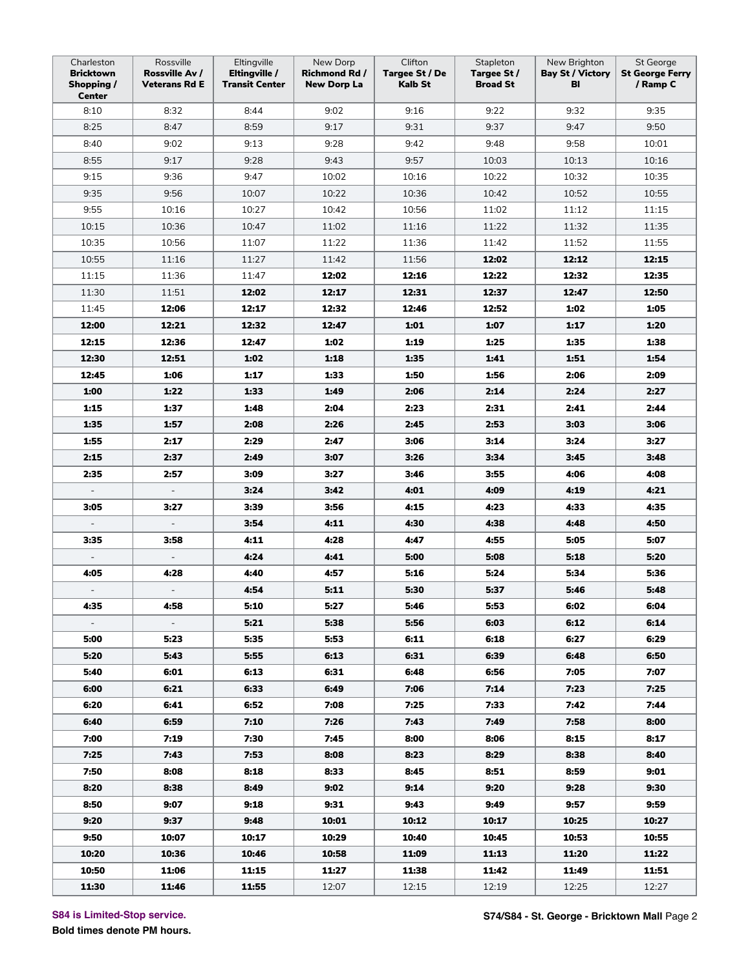| Charleston<br><b>Bricktown</b><br>Shopping /<br><b>Center</b> | Rossville<br>Rossville Av /<br><b>Veterans Rd E</b> | Eltingville<br>Eltingville /<br><b>Transit Center</b> | New Dorp<br>Richmond Rd /<br><b>New Dorp La</b> | Clifton<br>Targee St / De<br>Kalb St | Stapleton<br>Targee St /<br><b>Broad St</b> | New Brighton<br><b>Bay St / Victory</b><br>BI | St George<br><b>St George Ferry</b><br>/ Ramp C |
|---------------------------------------------------------------|-----------------------------------------------------|-------------------------------------------------------|-------------------------------------------------|--------------------------------------|---------------------------------------------|-----------------------------------------------|-------------------------------------------------|
| 8:10                                                          | 8:32                                                | 8:44                                                  | 9:02                                            | 9:16                                 | 9:22                                        | 9:32                                          | 9:35                                            |
| 8:25                                                          | 8:47                                                | 8:59                                                  | 9:17                                            | 9:31                                 | 9:37                                        | 9:47                                          | 9:50                                            |
| 8:40                                                          | 9:02                                                | 9:13                                                  | 9:28                                            | 9:42                                 | 9:48                                        | 9:58                                          | 10:01                                           |
| 8:55                                                          | 9:17                                                | 9:28                                                  | 9:43                                            | 9:57                                 | 10:03                                       | 10:13                                         | 10:16                                           |
| 9:15                                                          | 9:36                                                | 9:47                                                  | 10:02                                           | 10:16                                | 10:22                                       | 10:32                                         | 10:35                                           |
| 9:35                                                          | 9:56                                                | 10:07                                                 | 10:22                                           | 10:36                                | 10:42                                       | 10:52                                         | 10:55                                           |
| 9:55                                                          | 10:16                                               | 10:27                                                 | 10:42                                           | 10:56                                | 11:02                                       | 11:12                                         | 11:15                                           |
| 10:15                                                         | 10:36                                               | 10:47                                                 | 11:02                                           | 11:16                                | 11:22                                       | 11:32                                         | 11:35                                           |
| 10:35                                                         | 10:56                                               | 11:07                                                 | 11:22                                           | 11:36                                | 11:42                                       | 11:52                                         | 11:55                                           |
| 10:55                                                         | 11:16                                               | 11:27                                                 | 11:42                                           | 11:56                                | 12:02                                       | 12:12                                         | 12:15                                           |
| 11:15                                                         | 11:36                                               | 11:47                                                 | 12:02                                           | 12:16                                | 12:22                                       | 12:32                                         | 12:35                                           |
| 11:30                                                         | 11:51                                               | 12:02                                                 | 12:17                                           | 12:31                                | 12:37                                       | 12:47                                         | 12:50                                           |
| 11:45                                                         | 12:06                                               | 12:17                                                 | 12:32                                           | 12:46                                | 12:52                                       | 1:02                                          | 1:05                                            |
| 12:00                                                         | 12:21                                               | 12:32                                                 | 12:47                                           | 1:01                                 | 1:07                                        | 1:17                                          | 1:20                                            |
| 12:15                                                         | 12:36                                               | 12:47                                                 | 1:02                                            | 1:19                                 | 1:25                                        | 1:35                                          | 1:38                                            |
| 12:30                                                         | 12:51                                               | 1:02                                                  | 1:18                                            | 1:35                                 | 1:41                                        | 1:51                                          | 1:54                                            |
| 12:45                                                         | 1:06                                                | 1:17                                                  | 1:33                                            | 1:50                                 | 1:56                                        | 2:06                                          | 2:09                                            |
| 1:00                                                          | 1:22                                                | 1:33                                                  | 1:49                                            | 2:06                                 | 2:14                                        | 2:24                                          | 2:27                                            |
| 1:15                                                          | 1:37                                                | 1:48                                                  | 2:04                                            | 2:23                                 | 2:31                                        | 2:41                                          | 2:44                                            |
| 1:35                                                          | 1:57                                                | 2:08                                                  | 2:26                                            | 2:45                                 | 2:53                                        | 3:03                                          | 3:06                                            |
| 1:55                                                          | 2:17                                                | 2:29                                                  | 2:47                                            | 3:06                                 | 3:14                                        | 3:24                                          | 3:27                                            |
| 2:15                                                          | 2:37                                                | 2:49                                                  | 3:07                                            | 3:26                                 | 3:34                                        | 3:45                                          | 3:48                                            |
| 2:35                                                          | 2:57                                                | 3:09                                                  | 3:27                                            | 3:46                                 | 3:55                                        | 4:06                                          | 4:08                                            |
| $\overline{\phantom{a}}$                                      | $\equiv$                                            | 3:24                                                  | 3:42                                            | 4:01                                 | 4:09                                        | 4:19                                          | 4:21                                            |
| 3:05                                                          | 3:27                                                | 3:39                                                  | 3:56                                            | 4:15                                 | 4:23                                        | 4:33                                          | 4:35                                            |
|                                                               | $\qquad \qquad \blacksquare$                        | 3:54                                                  | 4:11                                            | 4:30                                 | 4:38                                        | 4:48                                          | 4:50                                            |
| 3:35                                                          | 3:58                                                | 4:11                                                  | 4:28                                            | 4:47                                 | 4:55                                        | 5:05                                          | 5:07                                            |
| $\blacksquare$                                                | $\overline{\phantom{a}}$                            | 4:24                                                  | 4:41                                            | 5:00                                 | 5:08                                        | 5:18                                          | 5:20                                            |
| 4:05                                                          | 4:28                                                | 4:40                                                  | 4:57                                            | 5:16                                 | 5:24                                        | 5:34                                          | 5:36                                            |
|                                                               |                                                     | 4:54                                                  | 5:11                                            | 5:30                                 | 5:37                                        | 5:46                                          | 5:48                                            |
| 4:35                                                          | 4:58                                                | 5:10                                                  | 5:27                                            | 5:46                                 | 5:53                                        | 6:02                                          | 6:04                                            |
| $\sim$                                                        | $\blacksquare$                                      | 5:21                                                  | 5:38                                            | 5:56                                 | 6:03                                        | 6:12                                          | 6:14                                            |
| 5:00                                                          | 5:23                                                | 5:35                                                  | 5:53                                            | 6:11                                 | 6:18                                        | 6:27                                          | 6:29                                            |
| 5:20                                                          | 5:43                                                | 5:55                                                  | 6:13                                            | 6:31                                 | 6:39                                        | 6:48                                          | 6:50                                            |
| 5:40                                                          | 6:01                                                | 6:13                                                  | 6:31                                            | 6:48                                 | 6:56                                        | 7:05                                          | 7:07                                            |
| 6:00                                                          | 6:21                                                | 6:33                                                  | 6:49                                            | 7:06                                 | 7:14                                        | 7:23                                          | 7:25                                            |
| 6:20                                                          | 6:41                                                | 6:52                                                  | 7:08                                            | 7:25                                 | 7:33                                        | 7:42                                          | 7:44                                            |
| 6:40                                                          | 6:59                                                | 7:10                                                  | 7:26                                            | 7:43                                 | 7:49                                        | 7:58                                          | 8:00                                            |
| 7:00                                                          | 7:19                                                | 7:30                                                  | 7:45                                            | 8:00                                 | 8:06                                        | 8:15                                          | 8:17                                            |
| 7:25                                                          | 7:43                                                | 7:53                                                  | 8:08                                            | 8:23                                 | 8:29                                        | 8:38                                          | 8:40                                            |
| 7:50                                                          | 8:08                                                | 8:18                                                  | 8:33                                            | 8:45                                 | 8:51                                        | 8:59                                          | 9:01                                            |
| 8:20                                                          | 8:38                                                | 8:49                                                  | 9:02                                            | 9:14                                 | 9:20                                        | 9:28                                          | 9:30                                            |
| 8:50                                                          | 9:07                                                | 9:18                                                  | 9:31                                            | 9:43                                 | 9:49                                        | 9:57                                          | 9:59                                            |
| 9:20                                                          | 9:37                                                | 9:48                                                  | 10:01                                           | 10:12                                | 10:17                                       | 10:25                                         | 10:27                                           |
| 9:50                                                          | 10:07                                               | 10:17                                                 | 10:29                                           | 10:40                                | 10:45                                       | 10:53                                         | 10:55                                           |
| 10:20                                                         | 10:36                                               | 10:46                                                 | 10:58                                           | 11:09                                | 11:13                                       | 11:20                                         | 11:22                                           |
| 10:50                                                         | 11:06                                               | 11:15                                                 | 11:27                                           | 11:38                                | 11:42                                       | 11:49                                         | 11:51                                           |
| 11:30                                                         | 11:46                                               | 11:55                                                 | 12:07                                           | 12:15                                | 12:19                                       | 12:25                                         | 12:27                                           |

**S84 is Limited-Stop service.**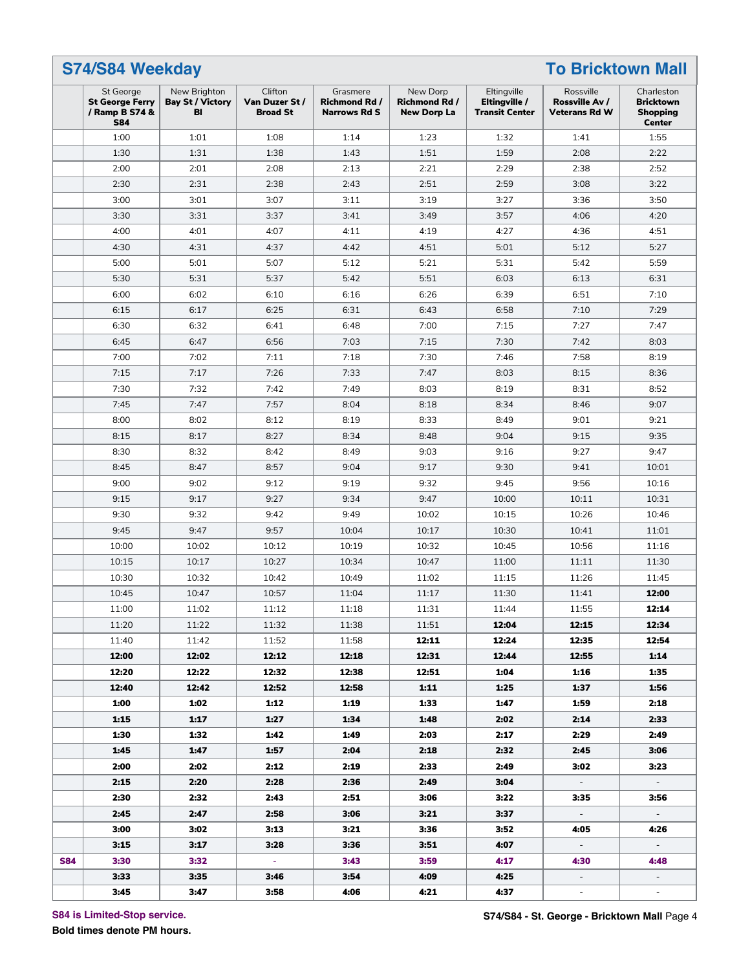| St George                                              | New Brighton                  | Clifton                           | Grasmere                                    | New Dorp                                   | Eltingville                            | Rossville                              | Charleston                                           |
|--------------------------------------------------------|-------------------------------|-----------------------------------|---------------------------------------------|--------------------------------------------|----------------------------------------|----------------------------------------|------------------------------------------------------|
| <b>St George Ferry</b><br>/ Ramp B S74 &<br><b>S84</b> | <b>Bay St / Victory</b><br>BI | Van Duzer St /<br><b>Broad St</b> | <b>Richmond Rd /</b><br><b>Narrows Rd S</b> | <b>Richmond Rd /</b><br><b>New Dorp La</b> | Eltingville /<br><b>Transit Center</b> | Rossville Av /<br><b>Veterans Rd W</b> | <b>Bricktown</b><br><b>Shopping</b><br><b>Center</b> |
| 1:00                                                   | 1:01                          | 1:08                              | 1:14                                        | 1:23                                       | 1:32                                   | 1:41                                   | 1:55                                                 |
| 1:30                                                   | 1:31                          | 1:38                              | 1:43                                        | 1:51                                       | 1:59                                   | 2:08                                   | 2:22                                                 |
| 2:00                                                   | 2:01                          | 2:08                              | 2:13                                        | 2:21                                       | 2:29                                   | 2:38                                   | 2:52                                                 |
| 2:30                                                   | 2:31                          | 2:38                              | 2:43                                        | 2:51                                       | 2:59                                   | 3:08                                   | 3:22                                                 |
| 3:00                                                   | 3:01                          | 3:07                              | 3:11                                        | 3:19                                       | 3:27                                   | 3:36                                   | 3:50                                                 |
| 3:30                                                   | 3:31                          | 3:37                              | 3:41                                        | 3:49                                       | 3:57                                   | 4:06                                   | 4:20                                                 |
| 4:00                                                   | 4:01                          | 4:07                              | 4:11                                        | 4:19                                       | 4:27                                   | 4:36                                   | 4:51                                                 |
| 4:30                                                   | 4:31                          | 4:37                              | 4:42                                        | 4:51                                       | 5:01                                   | 5:12                                   | 5:27                                                 |
| 5:00                                                   | 5:01                          | 5:07                              | 5:12                                        | 5:21                                       | 5:31                                   | 5:42                                   | 5:59                                                 |
| 5:30                                                   | 5:31                          | 5:37                              | 5:42                                        | 5:51                                       | 6:03                                   | 6:13                                   | 6:31                                                 |
| 6:00                                                   | 6:02                          | 6:10                              | 6:16                                        | 6:26                                       | 6:39                                   | 6:51                                   | 7:10                                                 |
| 6:15                                                   | 6:17                          | 6:25                              | 6:31                                        | 6:43                                       | 6:58                                   | 7:10                                   | 7:29                                                 |
| 6:30                                                   | 6:32                          | 6:41                              | 6:48                                        | 7:00                                       | 7:15                                   | 7:27                                   | 7:47                                                 |
| 6:45                                                   | 6:47                          | 6:56                              | 7:03                                        | 7:15                                       | 7:30                                   | 7:42                                   | 8:03                                                 |
| 7:00                                                   | 7:02                          | 7:11                              | 7:18                                        | 7:30                                       | 7:46                                   | 7:58                                   | 8:19                                                 |
| 7:15                                                   | 7:17                          | 7:26                              | 7:33                                        | 7:47                                       | 8:03                                   | 8:15                                   | 8:36                                                 |
| 7:30                                                   | 7:32                          | 7:42                              | 7:49                                        | 8:03                                       | 8:19                                   | 8:31                                   | 8:52                                                 |
| 7:45                                                   | 7:47                          | 7:57                              | 8:04                                        | 8:18                                       | 8:34                                   | 8:46                                   | 9:07                                                 |
| 8:00                                                   | 8:02                          | 8:12                              | 8:19                                        | 8:33                                       | 8:49                                   | 9:01                                   | 9:21                                                 |
| 8:15                                                   | 8:17                          | 8:27                              | 8:34                                        | 8:48                                       | 9:04                                   | 9:15                                   | 9:35                                                 |
| 8:30                                                   | 8:32                          | 8:42                              | 8:49                                        | 9:03                                       | 9:16                                   | 9:27                                   | 9:47                                                 |
| 8:45                                                   | 8:47                          | 8:57                              | 9:04                                        | 9:17                                       | 9:30                                   | 9:41                                   | 10:01                                                |
| 9:00                                                   | 9:02                          | 9:12                              | 9:19                                        | 9:32                                       | 9:45                                   | 9:56                                   | 10:16                                                |
| 9:15                                                   | 9:17                          | 9:27                              | 9:34                                        | 9:47                                       | 10:00                                  | 10:11                                  | 10:31                                                |
| 9:30                                                   | 9:32                          | 9:42                              | 9:49                                        | 10:02                                      | 10:15                                  | 10:26                                  | 10:46                                                |
| 9:45                                                   | 9:47                          | 9:57                              | 10:04                                       | 10:17                                      | 10:30                                  | 10:41                                  | 11:01                                                |
| 10:00                                                  | 10:02                         | 10:12                             | 10:19                                       | 10:32                                      | 10:45                                  | 10:56                                  | 11:16                                                |
| 10:15                                                  | 10:17                         | 10:27                             | 10:34                                       | 10:47                                      | 11:00                                  | 11:11                                  | 11:30                                                |
| 10:30                                                  | 10:32                         | 10:42                             | 10:49                                       | 11:02                                      | 11:15                                  | 11:26                                  | 11:45                                                |
| 10:45                                                  | 10:47                         | 10:57                             | 11:04                                       | 11:17                                      | 11:30                                  | 11:41                                  | 12:00                                                |
| 11:00                                                  | 11:02                         | 11:12                             | 11:18                                       | 11:31                                      | 11:44                                  | 11:55                                  | 12:14                                                |
| 11:20                                                  | 11:22                         | 11:32                             | 11:38                                       | 11:51                                      | 12:04                                  | 12:15                                  | 12:34                                                |
| 11:40                                                  | 11:42                         | 11:52                             | 11:58                                       | 12:11                                      | 12:24                                  | 12:35                                  | 12:54                                                |
| 12:00                                                  | 12:02                         | 12:12                             | 12:18                                       | 12:31                                      | 12:44                                  | 12:55                                  | 1:14                                                 |
| 12:20                                                  | 12:22                         | 12:32                             | 12:38                                       | 12:51                                      | 1:04                                   | 1:16                                   | 1:35                                                 |
| 12:40                                                  | 12:42                         | 12:52                             | 12:58                                       | 1:11                                       | 1:25                                   | 1:37                                   | 1:56                                                 |
| 1:00                                                   | 1:02                          | 1:12                              | 1:19                                        | 1:33                                       | 1:47                                   | 1:59                                   | 2:18                                                 |
| 1:15                                                   | 1:17                          | 1:27                              | 1:34                                        | 1:48                                       | 2:02                                   | 2:14                                   | 2:33                                                 |
| 1:30                                                   | 1:32                          | 1:42                              | 1:49                                        | 2:03                                       | 2:17                                   | 2:29                                   | 2:49                                                 |
| 1:45                                                   | 1:47                          | 1:57                              | 2:04                                        | 2:18                                       | 2:32                                   | 2:45                                   | 3:06                                                 |
| 2:00                                                   | 2:02                          |                                   | 2:19                                        | 2:33                                       | 2:49                                   |                                        | 3:23                                                 |
|                                                        |                               | 2:12                              |                                             |                                            |                                        | 3:02                                   |                                                      |
| 2:15                                                   | 2:20                          | 2:28                              | 2:36                                        | 2:49                                       | 3:04                                   | $\sim$                                 | $\sim$                                               |
| 2:30                                                   | 2:32                          | 2:43                              | 2:51                                        | 3:06                                       | 3:22                                   | 3:35                                   | 3:56                                                 |
| 2:45                                                   | 2:47                          | 2:58                              | 3:06                                        | 3:21                                       | 3:37                                   | $\sim$                                 | $\sim$                                               |
| 3:00                                                   | 3:02                          | 3:13                              | 3:21                                        | 3:36                                       | 3:52                                   | 4:05                                   | 4:26                                                 |
| 3:15                                                   | 3:17                          | 3:28                              | 3:36                                        | 3:51                                       | 4:07                                   | $\sim$                                 | $\sim$                                               |
| 3:30                                                   | 3:32                          | $\sim$                            | 3:43                                        | 3:59                                       | 4:17                                   | 4:30                                   | 4:48                                                 |
| 3:33                                                   | 3:35                          | 3:46                              | 3:54                                        | 4:09                                       | 4:25                                   | $\sim$                                 | $\sim$                                               |

**S84 is Limited-Stop service.**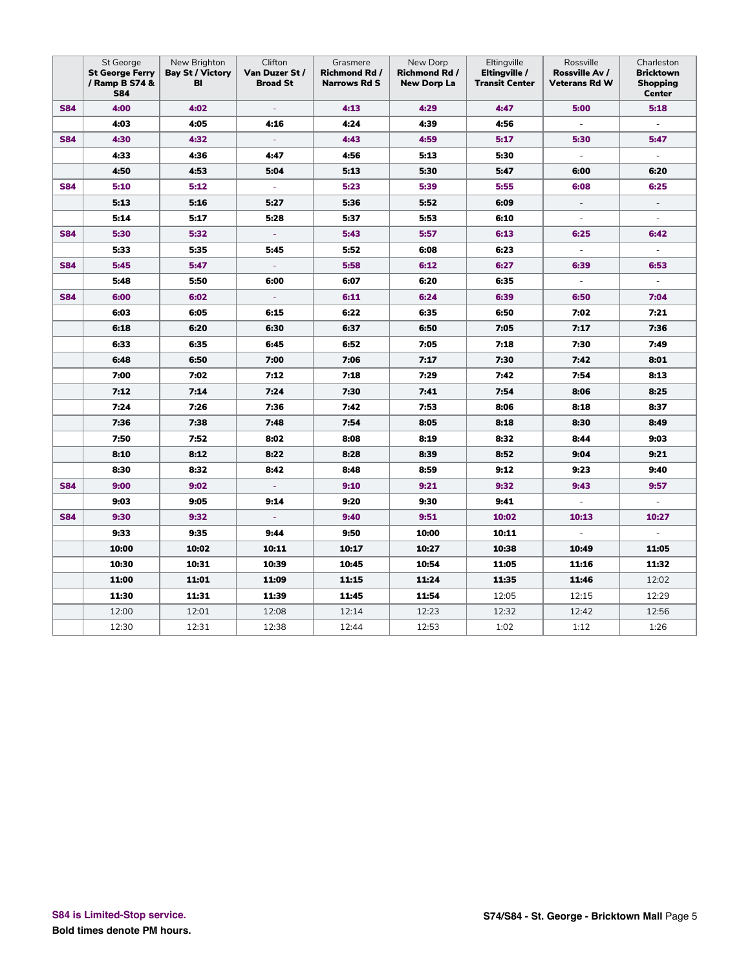|            | St George<br><b>St George Ferry</b><br>/ Ramp B S74 &<br><b>S84</b> | New Brighton<br><b>Bay St / Victory</b><br>BI | Clifton<br>Van Duzer St /<br><b>Broad St</b> | Grasmere<br><b>Richmond Rd /</b><br><b>Narrows Rd S</b> | New Dorp<br><b>Richmond Rd /</b><br><b>New Dorp La</b> | Eltingville<br>Eltingville /<br><b>Transit Center</b> | Rossville<br>Rossville Av /<br><b>Veterans Rd W</b> | Charleston<br><b>Bricktown</b><br><b>Shopping</b><br><b>Center</b> |
|------------|---------------------------------------------------------------------|-----------------------------------------------|----------------------------------------------|---------------------------------------------------------|--------------------------------------------------------|-------------------------------------------------------|-----------------------------------------------------|--------------------------------------------------------------------|
| <b>S84</b> | 4:00                                                                | 4:02                                          | $\equiv$                                     | 4:13                                                    | 4:29                                                   | 4:47                                                  | 5:00                                                | 5:18                                                               |
|            | 4:03                                                                | 4:05                                          | 4:16                                         | 4:24                                                    | 4:39                                                   | 4:56                                                  | $\overline{\phantom{a}}$                            | $\overline{\phantom{a}}$                                           |
| <b>S84</b> | 4:30                                                                | 4:32                                          |                                              | 4:43                                                    | 4:59                                                   | 5:17                                                  | 5:30                                                | 5:47                                                               |
|            | 4:33                                                                | 4:36                                          | 4:47                                         | 4:56                                                    | 5:13                                                   | 5:30                                                  | $\Box$                                              | $\overline{\phantom{0}}$                                           |
|            | 4:50                                                                | 4:53                                          | 5:04                                         | 5:13                                                    | 5:30                                                   | 5:47                                                  | 6:00                                                | 6:20                                                               |
| <b>S84</b> | 5:10                                                                | 5:12                                          | ÷                                            | 5:23                                                    | 5:39                                                   | 5:55                                                  | 6:08                                                | 6:25                                                               |
|            | 5:13                                                                | 5:16                                          | 5:27                                         | 5:36                                                    | 5:52                                                   | 6:09                                                  | $\overline{\phantom{a}}$                            | $\overline{\phantom{0}}$                                           |
|            | 5:14                                                                | 5:17                                          | 5:28                                         | 5:37                                                    | 5:53                                                   | 6:10                                                  | $\overline{\phantom{a}}$                            | $\overline{\phantom{a}}$                                           |
| <b>S84</b> | 5:30                                                                | 5:32                                          | ÷                                            | 5:43                                                    | 5:57                                                   | 6:13                                                  | 6:25                                                | 6:42                                                               |
|            | 5:33                                                                | 5:35                                          | 5:45                                         | 5:52                                                    | 6:08                                                   | 6:23                                                  | $\overline{\phantom{a}}$                            |                                                                    |
| <b>S84</b> | 5:45                                                                | 5:47                                          |                                              | 5:58                                                    | 6:12                                                   | 6:27                                                  | 6:39                                                | 6:53                                                               |
|            | 5:48                                                                | 5:50                                          | 6:00                                         | 6:07                                                    | 6:20                                                   | 6:35                                                  | $\overline{\phantom{a}}$                            | $\overline{\phantom{a}}$                                           |
| <b>S84</b> | 6:00                                                                | 6:02                                          | $\overline{\phantom{a}}$                     | 6:11                                                    | 6:24                                                   | 6:39                                                  | 6:50                                                | 7:04                                                               |
|            | 6:03                                                                | 6:05                                          | 6:15                                         | 6:22                                                    | 6:35                                                   | 6:50                                                  | 7:02                                                | 7:21                                                               |
|            | 6:18                                                                | 6:20                                          | 6:30                                         | 6:37                                                    | 6:50                                                   | 7:05                                                  | 7:17                                                | 7:36                                                               |
|            | 6:33                                                                | 6:35                                          | 6:45                                         | 6:52                                                    | 7:05                                                   | 7:18                                                  | 7:30                                                | 7:49                                                               |
|            | 6:48                                                                | 6:50                                          | 7:00                                         | 7:06                                                    | 7:17                                                   | 7:30                                                  | 7:42                                                | 8:01                                                               |
|            | 7:00                                                                | 7:02                                          | 7:12                                         | 7:18                                                    | 7:29                                                   | 7:42                                                  | 7:54                                                | 8:13                                                               |
|            | 7:12                                                                | 7:14                                          | 7:24                                         | 7:30                                                    | 7:41                                                   | 7:54                                                  | 8:06                                                | 8:25                                                               |
|            | 7:24                                                                | 7:26                                          | 7:36                                         | 7:42                                                    | 7:53                                                   | 8:06                                                  | 8:18                                                | 8:37                                                               |
|            | 7:36                                                                | 7:38                                          | 7:48                                         | 7:54                                                    | 8:05                                                   | 8:18                                                  | 8:30                                                | 8:49                                                               |
|            | 7:50                                                                | 7:52                                          | 8:02                                         | 8:08                                                    | 8:19                                                   | 8:32                                                  | 8:44                                                | 9:03                                                               |
|            | 8:10                                                                | 8:12                                          | 8:22                                         | 8:28                                                    | 8:39                                                   | 8:52                                                  | 9:04                                                | 9:21                                                               |
|            | 8:30                                                                | 8:32                                          | 8:42                                         | 8:48                                                    | 8:59                                                   | 9:12                                                  | 9:23                                                | 9:40                                                               |
| <b>S84</b> | 9:00                                                                | 9:02                                          | ÷                                            | 9:10                                                    | 9:21                                                   | 9:32                                                  | 9:43                                                | 9:57                                                               |
|            | 9:03                                                                | 9:05                                          | 9:14                                         | 9:20                                                    | 9:30                                                   | 9:41                                                  | $\overline{\phantom{a}}$                            | $\overline{\phantom{a}}$                                           |
| <b>S84</b> | 9:30                                                                | 9:32                                          | $\overline{\phantom{a}}$                     | 9:40                                                    | 9:51                                                   | 10:02                                                 | 10:13                                               | 10:27                                                              |
|            | 9:33                                                                | 9:35                                          | 9:44                                         | 9:50                                                    | 10:00                                                  | 10:11                                                 | ÷,                                                  |                                                                    |
|            | 10:00                                                               | 10:02                                         | 10:11                                        | 10:17                                                   | 10:27                                                  | 10:38                                                 | 10:49                                               | 11:05                                                              |
|            | 10:30                                                               | 10:31                                         | 10:39                                        | 10:45                                                   | 10:54                                                  | 11:05                                                 | 11:16                                               | 11:32                                                              |
|            | 11:00                                                               | 11:01                                         | 11:09                                        | 11:15                                                   | 11:24                                                  | 11:35                                                 | 11:46                                               | 12:02                                                              |
|            | 11:30                                                               | 11:31                                         | 11:39                                        | 11:45                                                   | 11:54                                                  | 12:05                                                 | 12:15                                               | 12:29                                                              |
|            | 12:00                                                               | 12:01                                         | 12:08                                        | 12:14                                                   | 12:23                                                  | 12:32                                                 | 12:42                                               | 12:56                                                              |
|            | 12:30                                                               | 12:31                                         | 12:38                                        | 12:44                                                   | 12:53                                                  | 1:02                                                  | 1:12                                                | 1:26                                                               |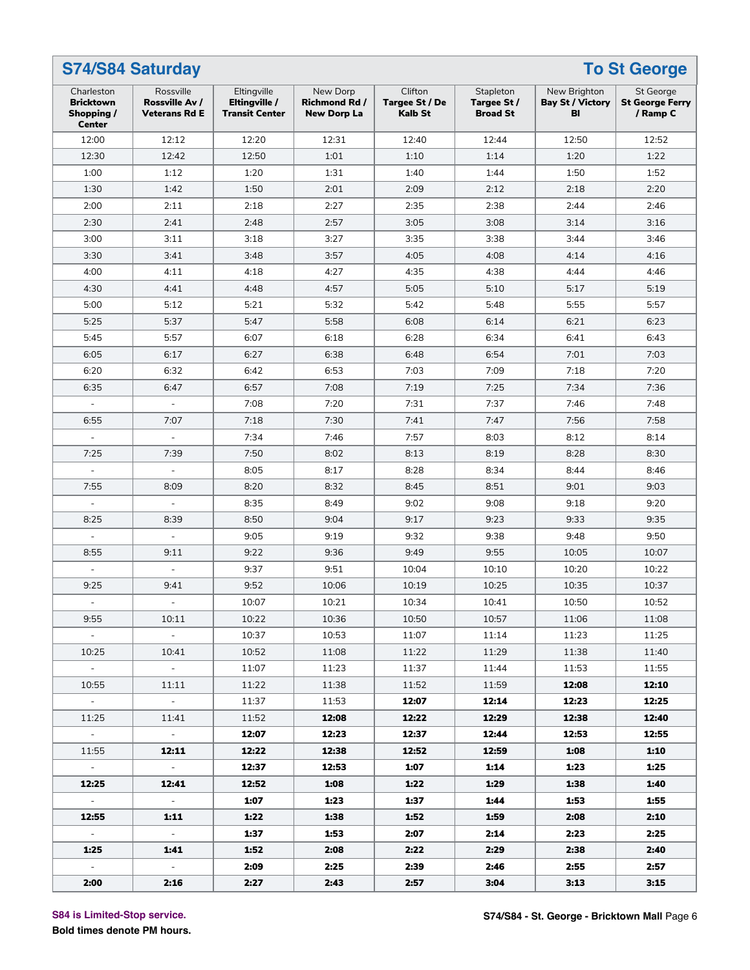|                                                               | <b>S74/S84 Saturday</b>                             |                                                       |                                                        |                                             |                                             |                                               | <b>To St George</b>                             |
|---------------------------------------------------------------|-----------------------------------------------------|-------------------------------------------------------|--------------------------------------------------------|---------------------------------------------|---------------------------------------------|-----------------------------------------------|-------------------------------------------------|
| Charleston<br><b>Bricktown</b><br>Shopping /<br><b>Center</b> | Rossville<br>Rossville Av /<br><b>Veterans Rd E</b> | Eltingville<br>Eltingville /<br><b>Transit Center</b> | New Dorp<br><b>Richmond Rd /</b><br><b>New Dorp La</b> | Clifton<br>Targee St / De<br><b>Kalb St</b> | Stapleton<br>Targee St /<br><b>Broad St</b> | New Brighton<br><b>Bay St / Victory</b><br>BI | St George<br><b>St George Ferry</b><br>/ Ramp C |
| 12:00                                                         | 12:12                                               | 12:20                                                 | 12:31                                                  | 12:40                                       | 12:44                                       | 12:50                                         | 12:52                                           |
| 12:30                                                         | 12:42                                               | 12:50                                                 | 1:01                                                   | 1:10                                        | 1:14                                        | 1:20                                          | 1:22                                            |
| 1:00                                                          | 1:12                                                | 1:20                                                  | 1:31                                                   | 1:40                                        | 1:44                                        | 1:50                                          | 1:52                                            |
| 1:30                                                          | 1:42                                                | 1:50                                                  | 2:01                                                   | 2:09                                        | 2:12                                        | 2:18                                          | 2:20                                            |
| 2:00                                                          | 2:11                                                | 2:18                                                  | 2:27                                                   | 2:35                                        | 2:38                                        | 2:44                                          | 2:46                                            |
| 2:30                                                          | 2:41                                                | 2:48                                                  | 2:57                                                   | 3:05                                        | 3:08                                        | 3:14                                          | 3:16                                            |
| 3:00                                                          | 3:11                                                | 3:18                                                  | 3:27                                                   | 3:35                                        | 3:38                                        | 3:44                                          | 3:46                                            |
| 3:30                                                          | 3:41                                                | 3:48                                                  | 3:57                                                   | 4:05                                        | 4:08                                        | 4:14                                          | 4:16                                            |
| 4:00                                                          | 4:11                                                | 4:18                                                  | 4:27                                                   | 4:35                                        | 4:38                                        | 4:44                                          | 4:46                                            |
| 4:30                                                          | 4:41                                                | 4:48                                                  | 4:57                                                   | 5:05                                        | 5:10                                        | 5:17                                          | 5:19                                            |
| 5:00                                                          | 5:12                                                | 5:21                                                  | 5:32                                                   | 5:42                                        | 5:48                                        | 5:55                                          | 5:57                                            |
| 5:25                                                          | 5:37                                                | 5:47                                                  | 5:58                                                   | 6:08                                        | 6:14                                        | 6:21                                          | 6:23                                            |
| 5:45                                                          | 5:57                                                | 6:07                                                  | 6:18                                                   | 6:28                                        | 6:34                                        | 6:41                                          | 6:43                                            |
| 6:05                                                          | 6:17                                                | 6:27                                                  | 6:38                                                   | 6:48                                        | 6:54                                        | 7:01                                          | 7:03                                            |
| 6:20                                                          | 6:32                                                | 6:42                                                  | 6:53                                                   | 7:03                                        | 7:09                                        | 7:18                                          | 7:20                                            |
| 6:35                                                          | 6:47                                                | 6:57                                                  | 7:08                                                   | 7:19                                        | 7:25                                        | 7:34                                          | 7:36                                            |
| $\equiv$                                                      | $\bar{\phantom{a}}$                                 | 7:08                                                  | 7:20                                                   | 7:31                                        | 7:37                                        | 7:46                                          | 7:48                                            |
| 6:55                                                          | 7:07                                                | 7:18                                                  | 7:30                                                   | 7:41                                        | 7:47                                        | 7:56                                          | 7:58                                            |
| $\sim$                                                        | $\overline{a}$                                      | 7:34                                                  | 7:46                                                   | 7:57                                        | 8:03                                        | 8:12                                          | 8:14                                            |
| 7:25                                                          | 7:39                                                | 7:50                                                  | 8:02                                                   | 8:13                                        | 8:19                                        | 8:28                                          | 8:30                                            |
| $\bar{\phantom{a}}$                                           | $\overline{\phantom{a}}$                            | 8:05                                                  | 8:17                                                   | 8:28                                        | 8:34                                        | 8:44                                          | 8:46                                            |
| 7:55                                                          | 8:09                                                | 8:20                                                  | 8:32                                                   | 8:45                                        | 8:51                                        | 9:01                                          | 9:03                                            |
|                                                               |                                                     | 8:35                                                  | 8:49                                                   | 9:02                                        | 9:08                                        | 9:18                                          | 9:20                                            |
| 8:25                                                          | 8:39                                                | 8:50                                                  | 9:04                                                   | 9:17                                        | 9:23                                        | 9:33                                          | 9:35                                            |
| $\equiv$                                                      | $\bar{\phantom{a}}$                                 | 9:05                                                  | 9:19                                                   | 9:32                                        | 9:38                                        | 9:48                                          | 9:50                                            |
| 8:55                                                          | 9:11                                                | 9:22                                                  | 9:36                                                   | 9:49                                        | 9:55                                        | 10:05                                         | 10:07                                           |
| $\overline{a}$                                                | L.                                                  | 9:37                                                  | 9:51                                                   | 10:04                                       | 10:10                                       | 10:20                                         | 10:22                                           |
| 9:25                                                          | 9:41                                                | 9:52                                                  | 10:06                                                  | 10:19                                       | 10:25                                       | 10:35                                         | 10:37                                           |
|                                                               |                                                     | 10:07                                                 | 10:21                                                  | 10:34                                       | 10:41                                       | 10:50                                         | 10:52                                           |
| 9:55                                                          | 10:11                                               | 10:22                                                 | 10:36                                                  | 10:50                                       | 10:57                                       | 11:06                                         | 11:08                                           |
| $\sim 10$                                                     | $\sim$                                              | 10:37                                                 | 10:53                                                  | 11:07                                       | 11:14                                       | 11:23                                         | 11:25                                           |
| 10:25                                                         | 10:41                                               | 10:52                                                 | 11:08                                                  | 11:22                                       | 11:29                                       | 11:38                                         | 11:40                                           |
| $\sim$                                                        | $\omega_{\rm{max}}$                                 | 11:07                                                 | 11:23                                                  | 11:37                                       | 11:44                                       | 11:53                                         | 11:55                                           |
| 10:55                                                         | 11:11                                               | 11:22                                                 | 11:38                                                  | 11:52                                       | 11:59                                       | 12:08                                         | 12:10                                           |
| $\sim$                                                        | $\omega_{\rm{max}}$                                 | 11:37                                                 | 11:53                                                  | 12:07                                       | 12:14                                       | 12:23                                         | 12:25                                           |
| 11:25                                                         | 11:41                                               | 11:52                                                 | 12:08                                                  | 12:22                                       | 12:29                                       | 12:38                                         | 12:40                                           |
| $\sim$                                                        | $\omega_{\rm{max}}$                                 | 12:07                                                 | 12:23                                                  | 12:37                                       | 12:44                                       | 12:53                                         | 12:55                                           |
| 11:55                                                         | 12:11                                               | 12:22                                                 | 12:38                                                  | 12:52                                       | 12:59                                       | 1:08                                          | 1:10                                            |
| $\sim$                                                        | $\sim 10$                                           | 12:37                                                 | 12:53                                                  | 1:07                                        | 1:14                                        | 1:23                                          | 1:25                                            |
| 12:25                                                         | 12:41                                               | 12:52                                                 | 1:08                                                   | 1:22                                        | 1:29                                        | 1:38                                          | 1:40                                            |
| $\sim$                                                        | $\omega_{\rm{max}}$                                 | 1:07                                                  | 1:23                                                   | 1:37                                        | 1:44                                        | 1:53                                          | 1:55                                            |
| 12:55                                                         | 1:11                                                | 1:22                                                  | 1:38                                                   | 1:52                                        | 1:59                                        | 2:08                                          | 2:10                                            |
| $\sim$                                                        | $\omega_{\rm{eff}}$                                 | 1:37                                                  | 1:53                                                   | 2:07                                        | 2:14                                        | 2:23                                          | 2:25                                            |
| 1:25                                                          | 1:41                                                | 1:52                                                  | 2:08                                                   | 2:22                                        | 2:29                                        | 2:38                                          | 2:40                                            |
| $\sim$                                                        | $\sim$ $-$                                          | 2:09                                                  | 2:25                                                   | 2:39                                        | 2:46                                        | 2:55                                          | 2:57                                            |
| 2:00                                                          | 2:16                                                | 2:27                                                  | 2:43                                                   | 2:57                                        | 3:04                                        | 3:13                                          | 3:15                                            |
|                                                               |                                                     |                                                       |                                                        |                                             |                                             |                                               |                                                 |

**S84 is Limited-Stop service.**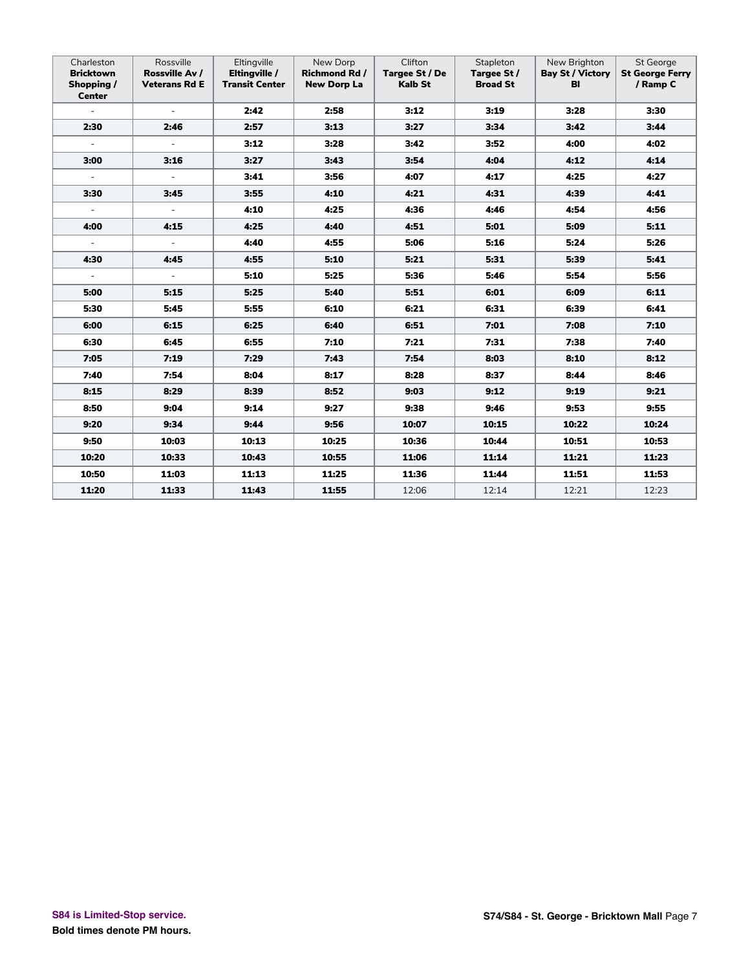| Charleston<br><b>Bricktown</b><br>Shopping /<br><b>Center</b> | Rossville<br>Rossville Av /<br><b>Veterans Rd E</b> | Eltingville<br>Eltingville /<br><b>Transit Center</b> | New Dorp<br><b>Richmond Rd /</b><br><b>New Dorp La</b> | Clifton<br>Targee St / De<br><b>Kalb St</b> | Stapleton<br>Targee St /<br><b>Broad St</b> | New Brighton<br><b>Bay St / Victory</b><br>BI | St George<br><b>St George Ferry</b><br>/ Ramp C |
|---------------------------------------------------------------|-----------------------------------------------------|-------------------------------------------------------|--------------------------------------------------------|---------------------------------------------|---------------------------------------------|-----------------------------------------------|-------------------------------------------------|
| $\equiv$                                                      | $\sim$                                              | 2:42                                                  | 2:58                                                   | 3:12                                        | 3:19                                        | 3:28                                          | 3:30                                            |
| 2:30                                                          | 2:46                                                | 2:57                                                  | 3:13                                                   | 3:27                                        | 3:34                                        | 3:42                                          | 3:44                                            |
| $\equiv$                                                      | $\omega$                                            | 3:12                                                  | 3:28                                                   | 3:42                                        | 3:52                                        | 4:00                                          | 4:02                                            |
| 3:00                                                          | 3:16                                                | 3:27                                                  | 3:43                                                   | 3:54                                        | 4:04                                        | 4:12                                          | 4:14                                            |
| $\omega$                                                      | $\equiv$                                            | 3:41                                                  | 3:56                                                   | 4:07                                        | 4:17                                        | 4:25                                          | 4:27                                            |
| 3:30                                                          | 3:45                                                | 3:55                                                  | 4:10                                                   | 4:21                                        | 4:31                                        | 4:39                                          | 4:41                                            |
| $\sim$                                                        | $\sim$                                              | 4:10                                                  | 4:25                                                   | 4:36                                        | 4:46                                        | 4:54                                          | 4:56                                            |
| 4:00                                                          | 4:15                                                | 4:25                                                  | 4:40                                                   | 4:51                                        | 5:01                                        | 5:09                                          | 5:11                                            |
| $\blacksquare$                                                | $\omega$                                            | 4:40                                                  | 4:55                                                   | 5:06                                        | 5:16                                        | 5:24                                          | 5:26                                            |
| 4:30                                                          | 4:45                                                | 4:55                                                  | 5:10                                                   | 5:21                                        | 5:31                                        | 5:39                                          | 5:41                                            |
| $\blacksquare$                                                | $\equiv$                                            | 5:10                                                  | 5:25                                                   | 5:36                                        | 5:46                                        | 5:54                                          | 5:56                                            |
| 5:00                                                          | 5:15                                                | 5:25                                                  | 5:40                                                   | 5:51                                        | 6:01                                        | 6:09                                          | 6:11                                            |
| 5:30                                                          | 5:45                                                | 5:55                                                  | 6:10                                                   | 6:21                                        | 6:31                                        | 6:39                                          | 6:41                                            |
| 6:00                                                          | 6:15                                                | 6:25                                                  | 6:40                                                   | 6:51                                        | 7:01                                        | 7:08                                          | 7:10                                            |
| 6:30                                                          | 6:45                                                | 6:55                                                  | 7:10                                                   | 7:21                                        | 7:31                                        | 7:38                                          | 7:40                                            |
| 7:05                                                          | 7:19                                                | 7:29                                                  | 7:43                                                   | 7:54                                        | 8:03                                        | 8:10                                          | 8:12                                            |
| 7:40                                                          | 7:54                                                | 8:04                                                  | 8:17                                                   | 8:28                                        | 8:37                                        | 8:44                                          | 8:46                                            |
| 8:15                                                          | 8:29                                                | 8:39                                                  | 8:52                                                   | 9:03                                        | 9:12                                        | 9:19                                          | 9:21                                            |
| 8:50                                                          | 9:04                                                | 9:14                                                  | 9:27                                                   | 9:38                                        | 9:46                                        | 9:53                                          | 9:55                                            |
| 9:20                                                          | 9:34                                                | 9:44                                                  | 9:56                                                   | 10:07                                       | 10:15                                       | 10:22                                         | 10:24                                           |
| 9:50                                                          | 10:03                                               | 10:13                                                 | 10:25                                                  | 10:36                                       | 10:44                                       | 10:51                                         | 10:53                                           |
| 10:20                                                         | 10:33                                               | 10:43                                                 | 10:55                                                  | 11:06                                       | 11:14                                       | 11:21                                         | 11:23                                           |
| 10:50                                                         | 11:03                                               | 11:13                                                 | 11:25                                                  | 11:36                                       | 11:44                                       | 11:51                                         | 11:53                                           |
| 11:20                                                         | 11:33                                               | 11:43                                                 | 11:55                                                  | 12:06                                       | 12:14                                       | 12:21                                         | 12:23                                           |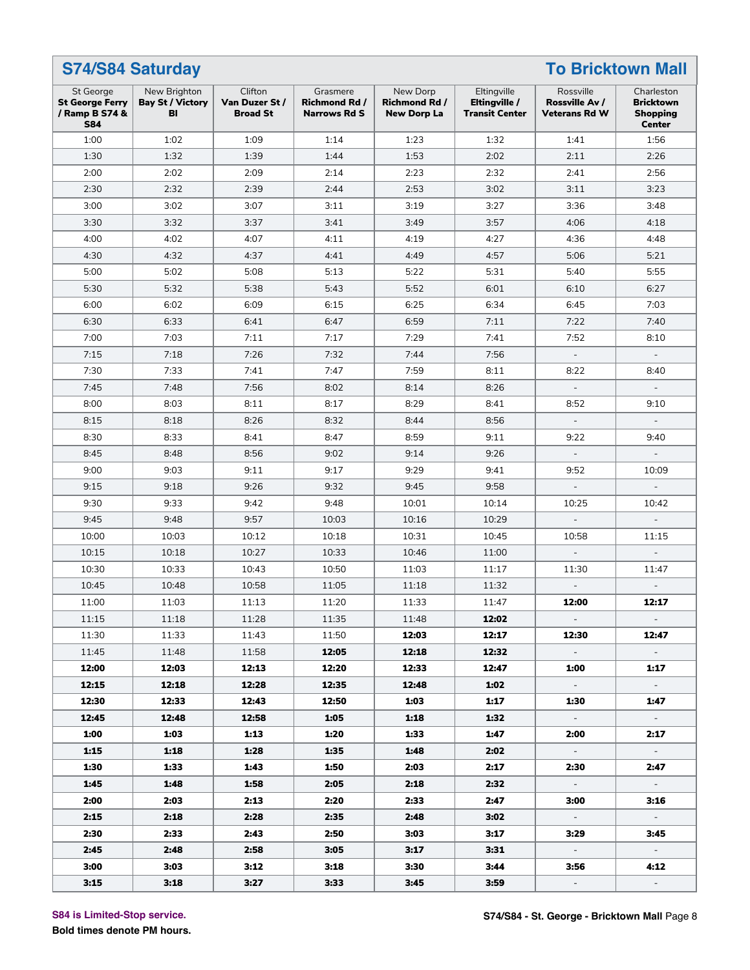| <b>To Bricktown Mall</b><br><b>S74/S84 Saturday</b>                 |                                               |                                              |                                                         |                                                        |                                                       |                                                     |                                                                    |  |
|---------------------------------------------------------------------|-----------------------------------------------|----------------------------------------------|---------------------------------------------------------|--------------------------------------------------------|-------------------------------------------------------|-----------------------------------------------------|--------------------------------------------------------------------|--|
| St George<br><b>St George Ferry</b><br>/ Ramp B S74 &<br><b>S84</b> | New Brighton<br><b>Bay St / Victory</b><br>BI | Clifton<br>Van Duzer St /<br><b>Broad St</b> | Grasmere<br><b>Richmond Rd /</b><br><b>Narrows Rd S</b> | New Dorp<br><b>Richmond Rd /</b><br><b>New Dorp La</b> | Eltingville<br>Eltingville /<br><b>Transit Center</b> | Rossville<br>Rossville Av /<br><b>Veterans Rd W</b> | Charleston<br><b>Bricktown</b><br><b>Shopping</b><br><b>Center</b> |  |
| 1:00                                                                | 1:02                                          | 1:09                                         | 1:14                                                    | 1:23                                                   | 1:32                                                  | 1:41                                                | 1:56                                                               |  |
| 1:30                                                                | 1:32                                          | 1:39                                         | 1:44                                                    | 1:53                                                   | 2:02                                                  | 2:11                                                | 2:26                                                               |  |
| 2:00                                                                | 2:02                                          | 2:09                                         | 2:14                                                    | 2:23                                                   | 2:32                                                  | 2:41                                                | 2:56                                                               |  |
| 2:30                                                                | 2:32                                          | 2:39                                         | 2:44                                                    | 2:53                                                   | 3:02                                                  | 3:11                                                | 3:23                                                               |  |
| 3:00                                                                | 3:02                                          | 3:07                                         | 3:11                                                    | 3:19                                                   | 3:27                                                  | 3:36                                                | 3:48                                                               |  |
| 3:30                                                                | 3:32                                          | 3:37                                         | 3:41                                                    | 3:49                                                   | 3:57                                                  | 4:06                                                | 4:18                                                               |  |
| 4:00                                                                | 4:02                                          | 4:07                                         | 4:11                                                    | 4:19                                                   | 4:27                                                  | 4:36                                                | 4:48                                                               |  |
| 4:30                                                                | 4:32                                          | 4:37                                         | 4:41                                                    | 4:49                                                   | 4:57                                                  | 5:06                                                | 5:21                                                               |  |
| 5:00                                                                | 5:02                                          | 5:08                                         | 5:13                                                    | 5:22                                                   | 5:31                                                  | 5:40                                                | 5:55                                                               |  |
| 5:30                                                                | 5:32                                          | 5:38                                         | 5:43                                                    | 5:52                                                   | 6:01                                                  | 6:10                                                | 6:27                                                               |  |
| 6:00                                                                | 6:02                                          | 6:09                                         | 6:15                                                    | 6:25                                                   | 6:34                                                  | 6:45                                                | 7:03                                                               |  |
| 6:30                                                                | 6:33                                          | 6:41                                         | 6:47                                                    | 6:59                                                   | 7:11                                                  | 7:22                                                | 7:40                                                               |  |
| 7:00                                                                | 7:03                                          | 7:11                                         | 7:17                                                    | 7:29                                                   | 7:41                                                  | 7:52                                                | 8:10                                                               |  |
| 7:15                                                                | 7:18                                          | 7:26                                         | 7:32                                                    | 7:44                                                   | 7:56                                                  | $\overline{\phantom{a}}$                            | $\overline{\phantom{a}}$                                           |  |
| 7:30                                                                | 7:33                                          | 7:41                                         | 7:47                                                    | 7:59                                                   | 8:11                                                  | 8:22                                                | 8:40                                                               |  |
| 7:45                                                                | 7:48                                          | 7:56                                         | 8:02                                                    | 8:14                                                   | 8:26                                                  |                                                     |                                                                    |  |
| 8:00                                                                | 8:03                                          | 8:11                                         | 8:17                                                    | 8:29                                                   | 8:41                                                  | 8:52                                                | 9:10                                                               |  |
| 8:15                                                                | 8:18                                          | 8:26                                         | 8:32                                                    | 8:44                                                   | 8:56                                                  | $\overline{\phantom{a}}$                            |                                                                    |  |
| 8:30                                                                | 8:33                                          | 8:41                                         | 8:47                                                    | 8:59                                                   | 9:11                                                  | 9:22                                                | 9:40                                                               |  |
| 8:45                                                                | 8:48                                          | 8:56                                         | 9:02                                                    | 9:14                                                   | 9:26                                                  | $\overline{\phantom{a}}$                            |                                                                    |  |
| 9:00                                                                | 9:03                                          | 9:11                                         | 9:17                                                    | 9:29                                                   | 9:41                                                  | 9:52                                                | 10:09                                                              |  |
| 9:15                                                                | 9:18                                          | 9:26                                         | 9:32                                                    | 9:45                                                   | 9:58                                                  | $\overline{\phantom{a}}$                            |                                                                    |  |
| 9:30                                                                | 9:33                                          | 9:42                                         | 9:48                                                    | 10:01                                                  | 10:14                                                 | 10:25                                               | 10:42                                                              |  |
| 9:45                                                                | 9:48                                          | 9:57                                         | 10:03                                                   | 10:16                                                  | 10:29                                                 |                                                     |                                                                    |  |
| 10:00                                                               | 10:03                                         | 10:12                                        | 10:18                                                   | 10:31                                                  | 10:45                                                 | 10:58                                               | 11:15                                                              |  |
| 10:15                                                               | 10:18                                         | 10:27                                        | 10:33                                                   | 10:46                                                  | 11:00                                                 | $\overline{\phantom{a}}$                            |                                                                    |  |
| 10:30                                                               | 10:33                                         | 10:43                                        | 10:50                                                   | 11:03                                                  | 11:17                                                 | 11:30                                               | 11:47                                                              |  |
| 10:45                                                               | 10:48                                         | 10:58                                        | 11:05                                                   | 11:18                                                  | 11:32                                                 |                                                     |                                                                    |  |
| 11:00                                                               | 11:03                                         | 11:13                                        | 11:20                                                   | 11:33                                                  | 11:47                                                 | 12:00                                               | 12:17                                                              |  |
| 11:15                                                               | 11:18                                         | 11:28                                        | 11:35                                                   | 11:48                                                  | 12:02                                                 | $\sim$                                              | $\sim$                                                             |  |
| 11:30                                                               | 11:33                                         | 11:43                                        | 11:50                                                   | 12:03                                                  | 12:17                                                 | 12:30                                               | 12:47                                                              |  |
| 11:45                                                               | 11:48                                         | 11:58                                        | 12:05                                                   | 12:18                                                  | 12:32                                                 | $\sim$                                              |                                                                    |  |
| 12:00                                                               | 12:03                                         | 12:13                                        | 12:20                                                   | 12:33                                                  | 12:47                                                 | 1:00                                                | 1:17                                                               |  |
| 12:15                                                               | 12:18                                         | 12:28                                        | 12:35                                                   | 12:48                                                  | 1:02                                                  | $\sim$                                              | $\sim$                                                             |  |
| 12:30                                                               | 12:33                                         | 12:43                                        | 12:50                                                   | 1:03                                                   | 1:17                                                  | 1:30                                                | 1:47                                                               |  |
| 12:45                                                               | 12:48                                         | 12:58                                        | 1:05                                                    | 1:18                                                   | 1:32                                                  | $\sim$                                              | $\sim$                                                             |  |
| 1:00                                                                | 1:03                                          | 1:13                                         | 1:20                                                    | 1:33                                                   | 1:47                                                  | 2:00                                                | 2:17                                                               |  |
| 1:15                                                                | 1:18                                          | 1:28                                         | 1:35                                                    | 1:48                                                   | 2:02                                                  | $\sim$                                              | $\sim$                                                             |  |
| 1:30                                                                | 1:33                                          | 1:43                                         | 1:50                                                    | 2:03                                                   | 2:17                                                  | 2:30                                                | 2:47                                                               |  |
| 1:45                                                                | 1:48                                          | 1:58                                         | 2:05                                                    | 2:18                                                   | 2:32                                                  | $\sim$                                              | $\sim$                                                             |  |
| 2:00                                                                | 2:03                                          | 2:13                                         | 2:20                                                    | 2:33                                                   | 2:47                                                  | 3:00                                                | 3:16                                                               |  |
| 2:15                                                                | 2:18                                          | 2:28                                         | 2:35                                                    | 2:48                                                   | 3:02                                                  | $\sim$                                              | $\sim$                                                             |  |
| 2:30                                                                | 2:33                                          | 2:43                                         | 2:50                                                    | 3:03                                                   | 3:17                                                  | 3:29                                                | 3:45                                                               |  |
| 2:45                                                                | 2:48                                          | 2:58                                         | 3:05                                                    | 3:17                                                   | 3:31                                                  | $\sim$                                              | $\sim$                                                             |  |
| 3:00                                                                | 3:03                                          | 3:12                                         | 3:18                                                    | 3:30                                                   | 3:44                                                  | 3:56                                                | 4:12                                                               |  |
| 3:15                                                                | 3:18                                          | 3:27                                         | 3:33                                                    | 3:45                                                   | 3:59                                                  | $\sim$                                              | $\sim$                                                             |  |

**S84 is Limited-Stop service.**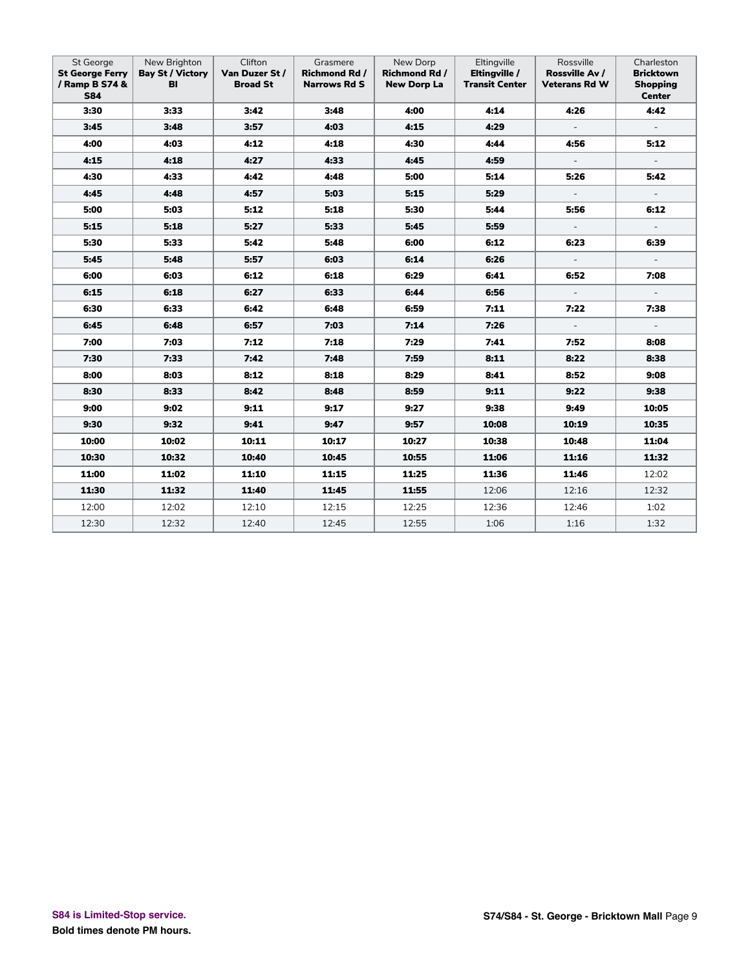| St George<br><b>St George Ferry</b><br>/ Ramp B S74 &<br><b>S84</b> | New Brighton<br><b>Bay St / Victory</b><br>BI | Clifton<br>Van Duzer St /<br><b>Broad St</b> | Grasmere<br><b>Richmond Rd /</b><br><b>Narrows Rd S</b> | New Dorp<br><b>Richmond Rd/</b><br><b>New Dorp La</b> | Eltingville<br>Eltingville /<br><b>Transit Center</b> | Rossville<br>Rossville Av /<br><b>Veterans Rd W</b> | Charleston<br><b>Bricktown</b><br><b>Shopping</b><br><b>Center</b> |
|---------------------------------------------------------------------|-----------------------------------------------|----------------------------------------------|---------------------------------------------------------|-------------------------------------------------------|-------------------------------------------------------|-----------------------------------------------------|--------------------------------------------------------------------|
| 3:30                                                                | 3:33                                          | 3:42                                         | 3:48                                                    | 4:00                                                  | 4:14                                                  | 4:26                                                | 4:42                                                               |
| 3:45                                                                | 3:48                                          | 3:57                                         | 4:03                                                    | 4:15                                                  | 4:29                                                  | $\sim$                                              | $\sim$                                                             |
| 4:00                                                                | 4:03                                          | 4:12                                         | 4:18                                                    | 4:30                                                  | 4:44                                                  | 4:56                                                | 5:12                                                               |
| 4:15                                                                | 4:18                                          | 4:27                                         | 4:33                                                    | 4:45                                                  | 4:59                                                  | $\Box$                                              | $\sim$                                                             |
| 4:30                                                                | 4:33                                          | 4:42                                         | 4:48                                                    | 5:00                                                  | 5:14                                                  | 5:26                                                | 5:42                                                               |
| 4:45                                                                | 4:48                                          | 4:57                                         | 5:03                                                    | 5:15                                                  | 5:29                                                  | $\overline{\phantom{a}}$                            |                                                                    |
| 5:00                                                                | 5:03                                          | 5:12                                         | 5:18                                                    | 5:30                                                  | 5:44                                                  | 5:56                                                | 6:12                                                               |
| 5:15                                                                | 5:18                                          | 5:27                                         | 5:33                                                    | 5:45                                                  | 5:59                                                  | $\overline{\phantom{a}}$                            |                                                                    |
| 5:30                                                                | 5:33                                          | 5:42                                         | 5:48                                                    | 6:00                                                  | 6:12                                                  | 6:23                                                | 6:39                                                               |
| 5:45                                                                | 5:48                                          | 5:57                                         | 6:03                                                    | 6:14                                                  | 6:26                                                  | $\overline{\phantom{a}}$                            |                                                                    |
| 6:00                                                                | 6:03                                          | 6:12                                         | 6:18                                                    | 6:29                                                  | 6:41                                                  | 6:52                                                | 7:08                                                               |
| 6:15                                                                | 6:18                                          | 6:27                                         | 6:33                                                    | 6:44                                                  | 6:56                                                  | $\overline{\phantom{a}}$                            | $\overline{\phantom{a}}$                                           |
| 6:30                                                                | 6:33                                          | 6:42                                         | 6:48                                                    | 6:59                                                  | 7:11                                                  | 7:22                                                | 7:38                                                               |
| 6:45                                                                | 6:48                                          | 6:57                                         | 7:03                                                    | 7:14                                                  | 7:26                                                  | $\equiv$                                            | $\blacksquare$                                                     |
| 7:00                                                                | 7:03                                          | 7:12                                         | 7:18                                                    | 7:29                                                  | 7:41                                                  | 7:52                                                | 8:08                                                               |
| 7:30                                                                | 7:33                                          | 7:42                                         | 7:48                                                    | 7:59                                                  | 8:11                                                  | 8:22                                                | 8:38                                                               |
| 8:00                                                                | 8:03                                          | 8:12                                         | 8:18                                                    | 8:29                                                  | 8:41                                                  | 8:52                                                | 9:08                                                               |
| 8:30                                                                | 8:33                                          | 8:42                                         | 8:48                                                    | 8:59                                                  | 9:11                                                  | 9:22                                                | 9:38                                                               |
| 9:00                                                                | 9:02                                          | 9:11                                         | 9:17                                                    | 9:27                                                  | 9:38                                                  | 9:49                                                | 10:05                                                              |
| 9:30                                                                | 9:32                                          | 9:41                                         | 9:47                                                    | 9:57                                                  | 10:08                                                 | 10:19                                               | 10:35                                                              |
| 10:00                                                               | 10:02                                         | 10:11                                        | 10:17                                                   | 10:27                                                 | 10:38                                                 | 10:48                                               | 11:04                                                              |
| 10:30                                                               | 10:32                                         | 10:40                                        | 10:45                                                   | 10:55                                                 | 11:06                                                 | 11:16                                               | 11:32                                                              |
| 11:00                                                               | 11:02                                         | 11:10                                        | 11:15                                                   | 11:25                                                 | 11:36                                                 | 11:46                                               | 12:02                                                              |
| 11:30                                                               | 11:32                                         | 11:40                                        | 11:45                                                   | 11:55                                                 | 12:06                                                 | 12:16                                               | 12:32                                                              |
| 12:00                                                               | 12:02                                         | 12:10                                        | 12:15                                                   | 12:25                                                 | 12:36                                                 | 12:46                                               | 1:02                                                               |
| 12:30                                                               | 12:32                                         | 12:40                                        | 12:45                                                   | 12:55                                                 | 1:06                                                  | 1:16                                                | 1:32                                                               |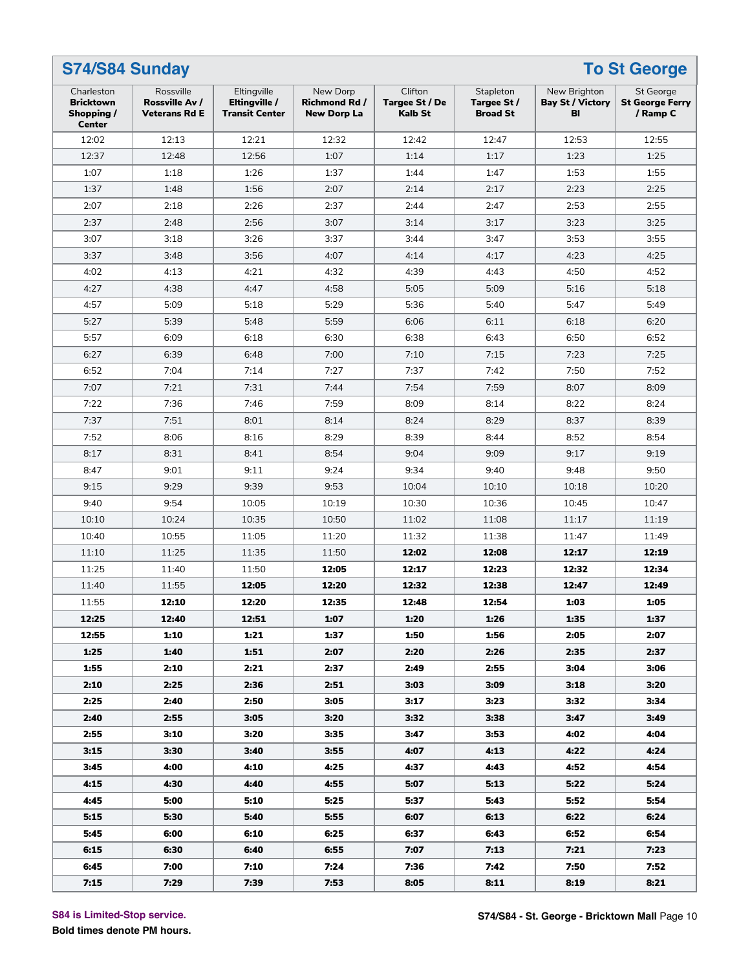| S74/S84 Sunday                                                |                                                     |                                                       |                                                        |                                             |                                             |                                               | <b>To St George</b>                                    |
|---------------------------------------------------------------|-----------------------------------------------------|-------------------------------------------------------|--------------------------------------------------------|---------------------------------------------|---------------------------------------------|-----------------------------------------------|--------------------------------------------------------|
| Charleston<br><b>Bricktown</b><br>Shopping /<br><b>Center</b> | Rossville<br>Rossville Av /<br><b>Veterans Rd E</b> | Eltingville<br>Eltingville /<br><b>Transit Center</b> | New Dorp<br><b>Richmond Rd /</b><br><b>New Dorp La</b> | Clifton<br>Targee St / De<br><b>Kalb St</b> | Stapleton<br>Targee St /<br><b>Broad St</b> | New Brighton<br><b>Bay St / Victory</b><br>BI | <b>St George</b><br><b>St George Ferry</b><br>/ Ramp C |
| 12:02                                                         | 12:13                                               | 12:21                                                 | 12:32                                                  | 12:42                                       | 12:47                                       | 12:53                                         | 12:55                                                  |
| 12:37                                                         | 12:48                                               | 12:56                                                 | 1:07                                                   | 1:14                                        | 1:17                                        | 1:23                                          | 1:25                                                   |
| 1:07                                                          | 1:18                                                | 1:26                                                  | 1:37                                                   | 1:44                                        | 1:47                                        | 1:53                                          | 1:55                                                   |
| 1:37                                                          | 1:48                                                | 1:56                                                  | 2:07                                                   | 2:14                                        | 2:17                                        | 2:23                                          | 2:25                                                   |
| 2:07                                                          | 2:18                                                | 2:26                                                  | 2:37                                                   | 2:44                                        | 2:47                                        | 2:53                                          | 2:55                                                   |
| 2:37                                                          | 2:48                                                | 2:56                                                  | 3:07                                                   | 3:14                                        | 3:17                                        | 3:23                                          | 3:25                                                   |
| 3:07                                                          | 3:18                                                | 3:26                                                  | 3:37                                                   | 3:44                                        | 3:47                                        | 3:53                                          | 3:55                                                   |
| 3:37                                                          | 3:48                                                | 3:56                                                  | 4:07                                                   | 4:14                                        | 4:17                                        | 4:23                                          | 4:25                                                   |
| 4:02                                                          | 4:13                                                | 4:21                                                  | 4:32                                                   | 4:39                                        | 4:43                                        | 4:50                                          | 4:52                                                   |
| 4:27                                                          | 4:38                                                | 4:47                                                  | 4:58                                                   | 5:05                                        | 5:09                                        | 5:16                                          | 5:18                                                   |
| 4:57                                                          | 5:09                                                | 5:18                                                  | 5:29                                                   | 5:36                                        | 5:40                                        | 5:47                                          | 5:49                                                   |
| 5:27                                                          | 5:39                                                | 5:48                                                  | 5:59                                                   | 6:06                                        | 6:11                                        | 6:18                                          | 6:20                                                   |
| 5:57                                                          | 6:09                                                | 6:18                                                  | 6:30                                                   | 6:38                                        | 6:43                                        | 6:50                                          | 6:52                                                   |
| 6:27                                                          | 6:39                                                | 6:48                                                  | 7:00                                                   | 7:10                                        | 7:15                                        | 7:23                                          | 7:25                                                   |
| 6:52                                                          | 7:04                                                | 7:14                                                  | 7:27                                                   | 7:37                                        | 7:42                                        | 7:50                                          | 7:52                                                   |
| 7:07                                                          | 7:21                                                | 7:31                                                  | 7:44                                                   | 7:54                                        | 7:59                                        | 8:07                                          | 8:09                                                   |
| 7:22                                                          | 7:36                                                | 7:46                                                  | 7:59                                                   | 8:09                                        | 8:14                                        | 8:22                                          | 8:24                                                   |
| 7:37                                                          | 7:51                                                | 8:01                                                  | 8:14                                                   | 8:24                                        | 8:29                                        | 8:37                                          | 8:39                                                   |
| 7:52                                                          | 8:06                                                | 8:16                                                  | 8:29                                                   | 8:39                                        | 8:44                                        | 8:52                                          | 8:54                                                   |
| 8:17                                                          | 8:31                                                | 8:41                                                  | 8:54                                                   | 9:04                                        | 9:09                                        | 9:17                                          | 9:19                                                   |
| 8:47                                                          | 9:01                                                | 9:11                                                  | 9:24                                                   | 9:34                                        | 9:40                                        | 9:48                                          | 9:50                                                   |
| 9:15                                                          | 9:29                                                | 9:39                                                  | 9:53                                                   | 10:04                                       | 10:10                                       | 10:18                                         | 10:20                                                  |
| 9:40                                                          | 9:54                                                | 10:05                                                 | 10:19                                                  | 10:30                                       | 10:36                                       | 10:45                                         | 10:47                                                  |
| 10:10                                                         | 10:24                                               | 10:35                                                 | 10:50                                                  | 11:02                                       | 11:08                                       | 11:17                                         | 11:19                                                  |
| 10:40                                                         | 10:55                                               | 11:05                                                 | 11:20                                                  | 11:32                                       | 11:38                                       | 11:47                                         | 11:49                                                  |
| 11:10                                                         | 11:25                                               | 11:35                                                 | 11:50                                                  | 12:02                                       | 12:08                                       | 12:17                                         | 12:19                                                  |
| 11:25                                                         | 11:40                                               | 11:50                                                 | 12:05                                                  | 12:17                                       | 12:23                                       | 12:32                                         | 12:34                                                  |
| 11:40                                                         | 11:55                                               | 12:05                                                 | 12:20                                                  | 12:32                                       | 12:38                                       | 12:47                                         | 12:49                                                  |
| 11:55                                                         | 12:10                                               | 12:20                                                 | 12:35                                                  | 12:48                                       | 12:54                                       | 1:03                                          | 1:05                                                   |
| 12:25                                                         | 12:40                                               | 12:51                                                 | 1:07                                                   | 1:20                                        | 1:26                                        | 1:35                                          | 1:37                                                   |
| 12:55                                                         | 1:10                                                | 1:21                                                  | 1:37                                                   | 1:50                                        | 1:56                                        | 2:05                                          | 2:07                                                   |
| 1:25                                                          | 1:40                                                | 1:51                                                  | 2:07                                                   | 2:20                                        | 2:26                                        | 2:35                                          | 2:37                                                   |
| 1:55                                                          | 2:10                                                | 2:21                                                  | 2:37                                                   | 2:49                                        | 2:55                                        | 3:04                                          | 3:06                                                   |
| 2:10                                                          | 2:25                                                | 2:36                                                  | 2:51                                                   | 3:03                                        | 3:09                                        | 3:18                                          | 3:20                                                   |
| 2:25                                                          | 2:40                                                | 2:50                                                  | 3:05                                                   | 3:17                                        | 3:23                                        | 3:32                                          | 3:34                                                   |
| 2:40                                                          | 2:55                                                | 3:05                                                  | 3:20                                                   | 3:32                                        | 3:38                                        | 3:47                                          | 3:49                                                   |
| 2:55                                                          | 3:10                                                | 3:20                                                  | 3:35                                                   | 3:47                                        | 3:53                                        | 4:02                                          | 4:04                                                   |
| 3:15                                                          | 3:30                                                | 3:40                                                  | 3:55                                                   | 4:07                                        | 4:13                                        | 4:22                                          | 4:24                                                   |
| 3:45                                                          | 4:00                                                | 4:10                                                  | 4:25                                                   | 4:37                                        | 4:43                                        | 4:52                                          | 4:54                                                   |
| 4:15                                                          | 4:30                                                | 4:40                                                  | 4:55                                                   | 5:07                                        | 5:13                                        | 5:22                                          | 5:24                                                   |
| 4:45                                                          | 5:00                                                | 5:10                                                  | 5:25                                                   | 5:37                                        | 5:43                                        | 5:52                                          | 5:54                                                   |
| 5:15                                                          | 5:30                                                | 5:40                                                  | 5:55                                                   | 6:07                                        | 6:13                                        | 6:22                                          | 6:24                                                   |
| 5:45                                                          | 6:00                                                | 6:10                                                  | 6:25                                                   | 6:37                                        | 6:43                                        | 6:52                                          | 6:54                                                   |
| 6:15                                                          | 6:30                                                | 6:40                                                  | 6:55                                                   | 7:07                                        | 7:13                                        | 7:21                                          | 7:23                                                   |
| 6:45                                                          | 7:00                                                | 7:10                                                  | 7:24                                                   | 7:36                                        | 7:42                                        | 7:50                                          | 7:52                                                   |
| 7:15                                                          | 7:29                                                | 7:39                                                  | 7:53                                                   | 8:05                                        | 8:11                                        | 8:19                                          | 8:21                                                   |
|                                                               |                                                     |                                                       |                                                        |                                             |                                             |                                               |                                                        |

**S84 is Limited-Stop service.**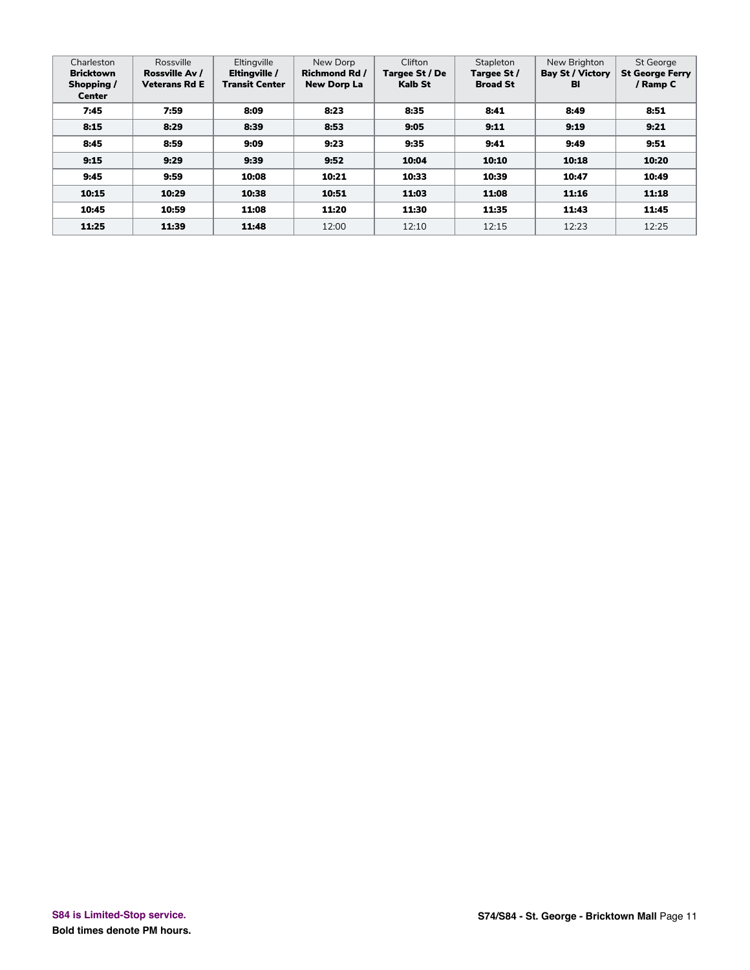| Charleston<br><b>Bricktown</b><br>Shopping /<br><b>Center</b> | Rossville<br>Rossville Av /<br>Veterans Rd E | Eltingville<br>Eltingville /<br><b>Transit Center</b> | New Dorp<br><b>Richmond Rd /</b><br><b>New Dorp La</b> | Clifton<br>Targee St / De<br><b>Kalb St</b> | Stapleton<br>Targee St/<br><b>Broad St</b> | New Brighton<br><b>Bay St / Victory</b><br>BI | St George<br><b>St George Ferry</b><br>/ Ramp C |
|---------------------------------------------------------------|----------------------------------------------|-------------------------------------------------------|--------------------------------------------------------|---------------------------------------------|--------------------------------------------|-----------------------------------------------|-------------------------------------------------|
| 7:45                                                          | 7:59                                         | 8:09                                                  | 8:23                                                   | 8:35                                        | 8:41                                       | 8:49                                          | 8:51                                            |
| 8:15                                                          | 8:29                                         | 8:39                                                  | 8:53                                                   | 9:05                                        | 9:11                                       | 9:19                                          | 9:21                                            |
| 8:45                                                          | 8:59                                         | 9:09                                                  | 9:23                                                   | 9:35                                        | 9:41                                       | 9:49                                          | 9:51                                            |
| 9:15                                                          | 9:29                                         | 9:39                                                  | 9:52                                                   | 10:04                                       | 10:10                                      | 10:18                                         | 10:20                                           |
| 9:45                                                          | 9:59                                         | 10:08                                                 | 10:21                                                  | 10:33                                       | 10:39                                      | 10:47                                         | 10:49                                           |
| 10:15                                                         | 10:29                                        | 10:38                                                 | 10:51                                                  | 11:03                                       | 11:08                                      | 11:16                                         | 11:18                                           |
| 10:45                                                         | 10:59                                        | 11:08                                                 | 11:20                                                  | 11:30                                       | 11:35                                      | 11:43                                         | 11:45                                           |
| 11:25                                                         | 11:39                                        | 11:48                                                 | 12:00                                                  | 12:10                                       | 12:15                                      | 12:23                                         | 12:25                                           |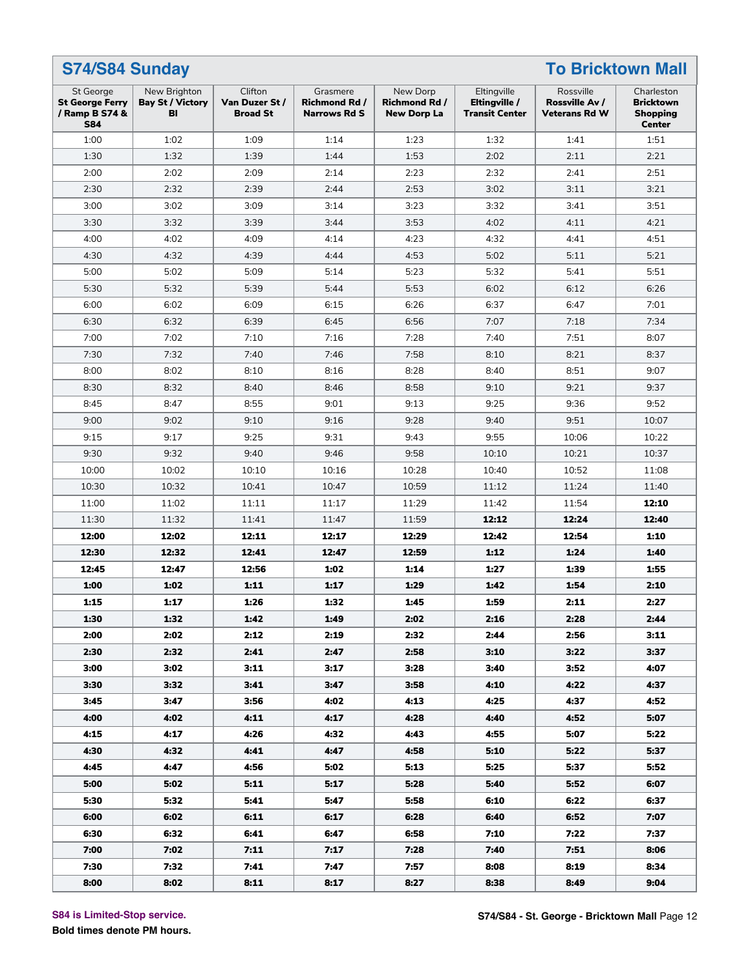|                                                                            | S74/S84 Sunday<br><b>To Bricktown Mall</b>    |                                             |                                                         |                                                        |                                                       |                                                     |                                                                    |  |  |  |
|----------------------------------------------------------------------------|-----------------------------------------------|---------------------------------------------|---------------------------------------------------------|--------------------------------------------------------|-------------------------------------------------------|-----------------------------------------------------|--------------------------------------------------------------------|--|--|--|
| <b>St George</b><br><b>St George Ferry</b><br>/ Ramp B S74 &<br><b>S84</b> | New Brighton<br><b>Bay St / Victory</b><br>BI | Clifton<br>Van Duzer St/<br><b>Broad St</b> | Grasmere<br><b>Richmond Rd /</b><br><b>Narrows Rd S</b> | New Dorp<br><b>Richmond Rd /</b><br><b>New Dorp La</b> | Eltingville<br>Eltingville /<br><b>Transit Center</b> | Rossville<br>Rossville Av /<br><b>Veterans Rd W</b> | Charleston<br><b>Bricktown</b><br><b>Shopping</b><br><b>Center</b> |  |  |  |
| 1:00                                                                       | 1:02                                          | 1:09                                        | 1:14                                                    | 1:23                                                   | 1:32                                                  | 1:41                                                | 1:51                                                               |  |  |  |
| 1:30                                                                       | 1:32                                          | 1:39                                        | 1:44                                                    | 1:53                                                   | 2:02                                                  | 2:11                                                | 2:21                                                               |  |  |  |
| 2:00                                                                       | 2:02                                          | 2:09                                        | 2:14                                                    | 2:23                                                   | 2:32                                                  | 2:41                                                | 2:51                                                               |  |  |  |
| 2:30                                                                       | 2:32                                          | 2:39                                        | 2:44                                                    | 2:53                                                   | 3:02                                                  | 3:11                                                | 3:21                                                               |  |  |  |
| 3:00                                                                       | 3:02                                          | 3:09                                        | 3:14                                                    | 3:23                                                   | 3:32                                                  | 3:41                                                | 3:51                                                               |  |  |  |
| 3:30                                                                       | 3:32                                          | 3:39                                        | 3:44                                                    | 3:53                                                   | 4:02                                                  | 4:11                                                | 4:21                                                               |  |  |  |
| 4:00                                                                       | 4:02                                          | 4:09                                        | 4:14                                                    | 4:23                                                   | 4:32                                                  | 4:41                                                | 4:51                                                               |  |  |  |
| 4:30                                                                       | 4:32                                          | 4:39                                        | 4:44                                                    | 4:53                                                   | 5:02                                                  | 5:11                                                | 5:21                                                               |  |  |  |
| 5:00                                                                       | 5:02                                          | 5:09                                        | 5:14                                                    | 5:23                                                   | 5:32                                                  | 5:41                                                | 5:51                                                               |  |  |  |
| 5:30                                                                       | 5:32                                          | 5:39                                        | 5:44                                                    | 5:53                                                   | 6:02                                                  | 6:12                                                | 6:26                                                               |  |  |  |
| 6:00                                                                       | 6:02                                          | 6:09                                        | 6:15                                                    | 6:26                                                   | 6:37                                                  | 6:47                                                | 7:01                                                               |  |  |  |
| 6:30                                                                       | 6:32                                          | 6:39                                        | 6:45                                                    | 6:56                                                   | 7:07                                                  | 7:18                                                | 7:34                                                               |  |  |  |
| 7:00                                                                       | 7:02                                          | 7:10                                        | 7:16                                                    | 7:28                                                   | 7:40                                                  | 7:51                                                | 8:07                                                               |  |  |  |
| 7:30                                                                       | 7:32                                          | 7:40                                        | 7:46                                                    | 7:58                                                   | 8:10                                                  | 8:21                                                | 8:37                                                               |  |  |  |
| 8:00                                                                       | 8:02                                          | 8:10                                        | 8:16                                                    | 8:28                                                   | 8:40                                                  | 8:51                                                | 9:07                                                               |  |  |  |
| 8:30                                                                       | 8:32                                          | 8:40                                        | 8:46                                                    | 8:58                                                   | 9:10                                                  | 9:21                                                | 9:37                                                               |  |  |  |
| 8:45                                                                       | 8:47                                          | 8:55                                        | 9:01                                                    | 9:13                                                   | 9:25                                                  | 9:36                                                | 9:52                                                               |  |  |  |
| 9:00                                                                       | 9:02                                          | 9:10                                        | 9:16                                                    | 9:28                                                   | 9:40                                                  | 9:51                                                | 10:07                                                              |  |  |  |
| 9:15                                                                       | 9:17                                          | 9:25                                        | 9:31                                                    | 9:43                                                   | 9:55                                                  | 10:06                                               | 10:22                                                              |  |  |  |
| 9:30                                                                       | 9:32                                          | 9:40                                        | 9:46                                                    | 9:58                                                   | 10:10                                                 | 10:21                                               | 10:37                                                              |  |  |  |
| 10:00                                                                      | 10:02                                         | 10:10                                       | 10:16                                                   | 10:28                                                  | 10:40                                                 | 10:52                                               | 11:08                                                              |  |  |  |
| 10:30                                                                      | 10:32                                         | 10:41                                       | 10:47                                                   | 10:59                                                  | 11:12                                                 | 11:24                                               | 11:40                                                              |  |  |  |
| 11:00                                                                      | 11:02                                         | 11:11                                       | 11:17                                                   | 11:29                                                  | 11:42                                                 | 11:54                                               | 12:10                                                              |  |  |  |
| 11:30                                                                      | 11:32                                         | 11:41                                       | 11:47                                                   | 11:59                                                  | 12:12                                                 | 12:24                                               | 12:40                                                              |  |  |  |
| 12:00                                                                      | 12:02                                         | 12:11                                       | 12:17                                                   | 12:29                                                  | 12:42                                                 | 12:54                                               | 1:10                                                               |  |  |  |
| 12:30                                                                      | 12:32                                         | 12:41                                       | 12:47                                                   | 12:59                                                  | 1:12                                                  | 1:24                                                | 1:40                                                               |  |  |  |
| 12:45                                                                      | 12:47                                         | 12:56                                       | 1:02                                                    | 1:14                                                   | 1:27                                                  | 1:39                                                | 1:55                                                               |  |  |  |
| 1:00                                                                       | 1:02                                          | 1:11                                        | 1:17                                                    | 1:29                                                   | 1:42                                                  | 1:54                                                | 2:10                                                               |  |  |  |
| 1:15                                                                       | 1:17                                          | 1:26                                        | 1:32                                                    | 1:45                                                   | 1:59                                                  | 2:11                                                | 2:27                                                               |  |  |  |
| 1:30                                                                       | 1:32                                          | 1:42                                        | 1:49                                                    | 2:02                                                   | 2:16                                                  | 2:28                                                | 2:44                                                               |  |  |  |
| 2:00                                                                       | 2:02                                          | 2:12                                        | 2:19                                                    | 2:32                                                   | 2:44                                                  | 2:56                                                | 3:11                                                               |  |  |  |
| 2:30                                                                       | 2:32                                          | 2:41                                        | 2:47                                                    | 2:58                                                   | 3:10                                                  | 3:22                                                | 3:37                                                               |  |  |  |
| 3:00                                                                       | 3:02                                          | 3:11                                        | 3:17                                                    | 3:28                                                   | 3:40                                                  | 3:52                                                | 4:07                                                               |  |  |  |
| 3:30                                                                       | 3:32                                          | 3:41                                        | 3:47                                                    | 3:58                                                   | 4:10                                                  | 4:22                                                | 4:37                                                               |  |  |  |
| 3:45                                                                       | 3:47                                          | 3:56                                        | 4:02                                                    | 4:13                                                   | 4:25                                                  | 4:37                                                | 4:52                                                               |  |  |  |
| 4:00                                                                       | 4:02                                          | 4:11                                        | 4:17                                                    | 4:28                                                   | 4:40                                                  | 4:52                                                | 5:07                                                               |  |  |  |
| 4:15                                                                       | 4:17                                          | 4:26                                        | 4:32                                                    | 4:43                                                   | 4:55                                                  | 5:07                                                | 5:22                                                               |  |  |  |
| 4:30                                                                       | 4:32                                          | 4:41                                        | 4:47                                                    | 4:58                                                   | 5:10                                                  | 5:22                                                | 5:37                                                               |  |  |  |
| 4:45                                                                       | 4:47                                          | 4:56                                        | 5:02                                                    | 5:13                                                   | 5:25                                                  | 5:37                                                | 5:52                                                               |  |  |  |
| 5:00                                                                       | 5:02                                          | 5:11                                        | 5:17                                                    | 5:28                                                   | 5:40                                                  | 5:52                                                | 6:07                                                               |  |  |  |
| 5:30                                                                       | 5:32                                          | 5:41                                        | 5:47                                                    | 5:58                                                   | 6:10                                                  | 6:22                                                | 6:37                                                               |  |  |  |
| 6:00                                                                       | 6:02                                          | 6:11                                        | 6:17                                                    | 6:28                                                   | 6:40                                                  | 6:52                                                | 7:07                                                               |  |  |  |
| 6:30                                                                       | 6:32                                          | 6:41                                        | 6:47                                                    | 6:58                                                   | 7:10                                                  | 7:22                                                | 7:37                                                               |  |  |  |
| 7:00                                                                       | 7:02                                          | 7:11                                        | 7:17                                                    | 7:28                                                   | 7:40                                                  | 7:51                                                | 8:06                                                               |  |  |  |
| 7:30                                                                       | 7:32                                          | 7:41                                        | 7:47                                                    | 7:57                                                   | 8:08                                                  | 8:19                                                | 8:34                                                               |  |  |  |
| 8:00                                                                       | 8:02                                          | 8:11                                        | 8:17                                                    | 8:27                                                   | 8:38                                                  | 8:49                                                | 9:04                                                               |  |  |  |

**S84 is Limited-Stop service.**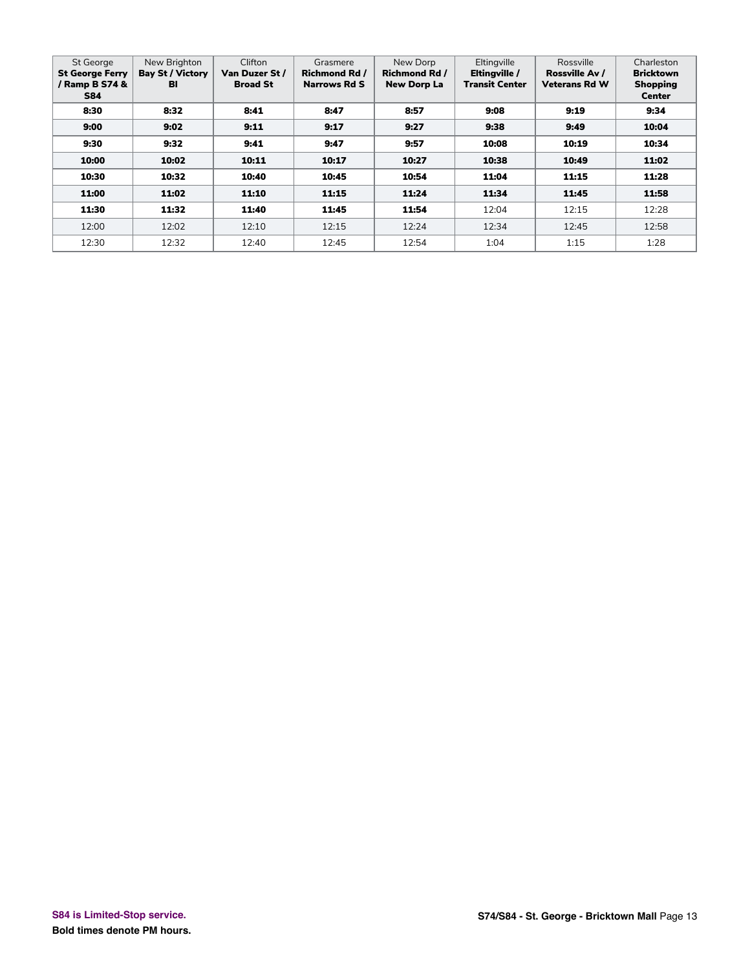| <b>St George</b><br><b>St George Ferry</b><br>/ Ramp B S74 &<br><b>S84</b> | New Brighton<br><b>Bay St / Victory</b><br>BI | Clifton<br>Van Duzer St /<br><b>Broad St</b> | Grasmere<br>Richmond Rd /<br>Narrows Rd S | New Dorp<br><b>Richmond Rd /</b><br><b>New Dorp La</b> | Eltingville<br>Eltingville /<br><b>Transit Center</b> | Rossville<br>Rossville Av /<br><b>Veterans Rd W</b> | Charleston<br><b>Bricktown</b><br><b>Shopping</b><br><b>Center</b> |
|----------------------------------------------------------------------------|-----------------------------------------------|----------------------------------------------|-------------------------------------------|--------------------------------------------------------|-------------------------------------------------------|-----------------------------------------------------|--------------------------------------------------------------------|
| 8:30                                                                       | 8:32                                          | 8:41                                         | 8:47                                      | 8:57                                                   | 9:08                                                  | 9:19                                                | 9:34                                                               |
| 9:00                                                                       | 9:02                                          | 9:11                                         | 9:17                                      | 9:27                                                   | 9:38                                                  | 9:49                                                | 10:04                                                              |
| 9:30                                                                       | 9:32                                          | 9:41                                         | 9:47                                      | 9:57                                                   | 10:08                                                 | 10:19                                               | 10:34                                                              |
| 10:00                                                                      | 10:02                                         | 10:11                                        | 10:17                                     | 10:27                                                  | 10:38                                                 | 10:49                                               | 11:02                                                              |
| 10:30                                                                      | 10:32                                         | 10:40                                        | 10:45                                     | 10:54                                                  | 11:04                                                 | 11:15                                               | 11:28                                                              |
| 11:00                                                                      | 11:02                                         | 11:10                                        | 11:15                                     | 11:24                                                  | 11:34                                                 | 11:45                                               | 11:58                                                              |
| 11:30                                                                      | 11:32                                         | 11:40                                        | 11:45                                     | 11:54                                                  | 12:04                                                 | 12:15                                               | 12:28                                                              |
| 12:00                                                                      | 12:02                                         | 12:10                                        | 12:15                                     | 12:24                                                  | 12:34                                                 | 12:45                                               | 12:58                                                              |
| 12:30                                                                      | 12:32                                         | 12:40                                        | 12:45                                     | 12:54                                                  | 1:04                                                  | 1:15                                                | 1:28                                                               |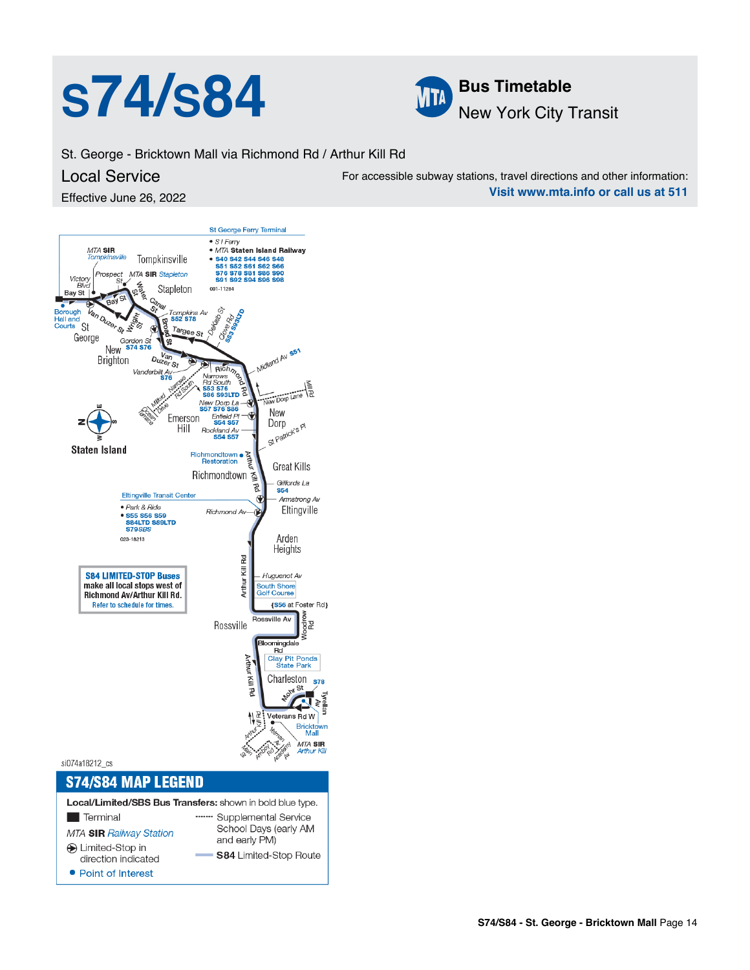



St. George - Bricktown Mall via Richmond Rd / Arthur Kill Rd

#### Local Service

Effective June 26, 2022

For accessible subway stations, travel directions and other information: **Visit www.mta.info or call us at 511**

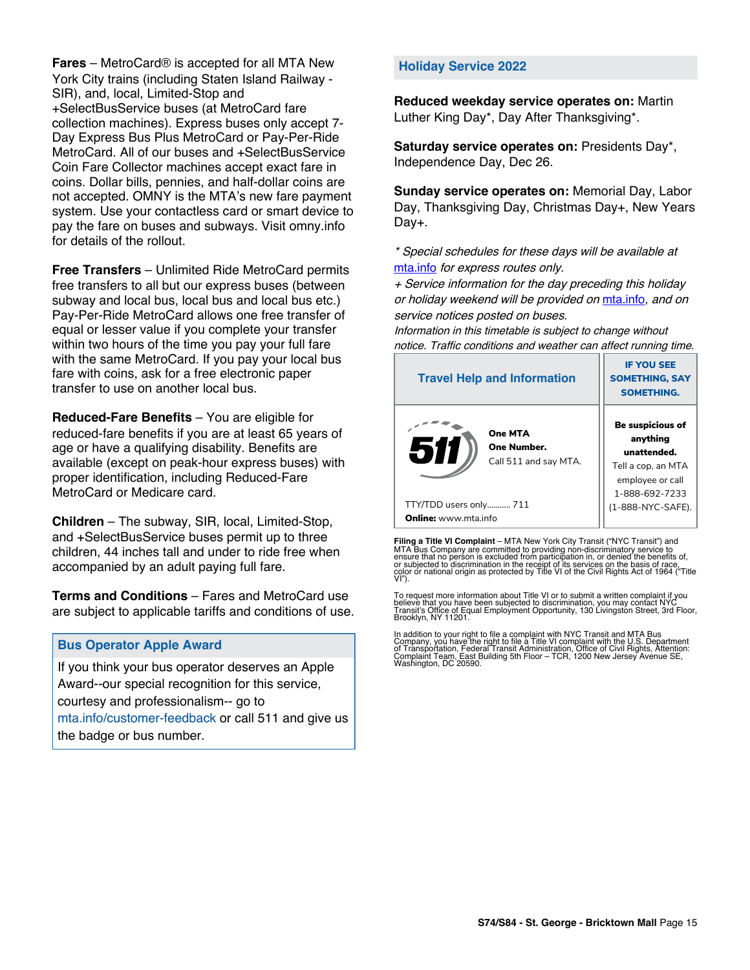**Fares** – MetroCard® is accepted for all MTA New York City trains (including Staten Island Railway - SIR), and, local, Limited-Stop and +SelectBusService buses (at MetroCard fare collection machines). Express buses only accept 7- Day Express Bus Plus MetroCard or Pay-Per-Ride MetroCard. All of our buses and +SelectBusService Coin Fare Collector machines accept exact fare in coins. Dollar bills, pennies, and half-dollar coins are not accepted. OMNY is the MTA's new fare payment system. Use your contactless card or smart device to pay the fare on buses and subways. Visit omny.info for details of the rollout.

**Free Transfers** – Unlimited Ride MetroCard permits free transfers to all but our express buses (between subway and local bus, local bus and local bus etc.) Pay-Per-Ride MetroCard allows one free transfer of equal or lesser value if you complete your transfer within two hours of the time you pay your full fare with the same MetroCard. If you pay your local bus fare with coins, ask for a free electronic paper transfer to use on another local bus.

**Reduced-Fare Benefits** – You are eligible for reduced-fare benefits if you are at least 65 years of age or have a qualifying disability. Benefits are available (except on peak-hour express buses) with proper identification, including Reduced-Fare MetroCard or Medicare card.

**Children** – The subway, SIR, local, Limited-Stop, and +SelectBusService buses permit up to three children, 44 inches tall and under to ride free when accompanied by an adult paying full fare.

**Terms and Conditions** – Fares and MetroCard use are subject to applicable tariffs and conditions of use.

#### **Bus Operator Apple Award**

If you think your bus operator deserves an Apple Award--our special recognition for this service, courtesy and professionalism-- go to mta.info/customer-feedback or call 511 and give us the badge or bus number.

#### **Holiday Service 2022**

**Reduced weekday service operates on:** Martin Luther King Day\*, Day After Thanksgiving\*.

**Saturday service operates on:** Presidents Day\*, Independence Day, Dec 26.

**Sunday service operates on:** Memorial Day, Labor Day, Thanksgiving Day, Christmas Day+, New Years Day+.

\* Special schedules for these days will be available at [mta.info](https://new.mta.info/) for express routes only.

+ Service information for the day preceding this holiday or holiday weekend will be provided on [mta.info](https://new.mta.info/), and on service notices posted on buses.

Information in this timetable is subject to change without notice. Traffic conditions and weather can affect running time.

| <b>Travel Help and Information</b>                            | <b>IF YOU SEE</b><br><b>SOMETHING, SAY</b><br><b>SOMETHING.</b>                                                |
|---------------------------------------------------------------|----------------------------------------------------------------------------------------------------------------|
| <b>One MTA</b><br>511<br>One Number.<br>Call 511 and say MTA. | <b>Be suspicious of</b><br>anything<br>unattended.<br>Tell a cop, an MTA<br>employee or call<br>1-888-692-7233 |
| TTY/TDD users only 711                                        | (1-888-NYC-SAFE).                                                                                              |
| <b>Online:</b> www.mta.info                                   |                                                                                                                |

**Filing a Title VI Complaint** – MTA New York City Transit ("NYC Transit") and<br>MTA Bus Company are committed to providing non-discriminatory service to<br>ensure that no person is excluded from participation in, or denied the

To request more information about Title VI or to submit a written complaint if you believe that you have been subjected to discrimination, you may contact NYC<br>Transit's Office of Equal Employment Opportunity, 130 Livingston Street, 3rd Floor,<br>Brooklyn, NY 11201.

In addition to your right to file a complaint with NYC Transit and MTA Bus<br>Company, you have the right to file a Title VI complaint with the U.S. Department<br>of Transportation, Federal Transit Administration, Office of Civi